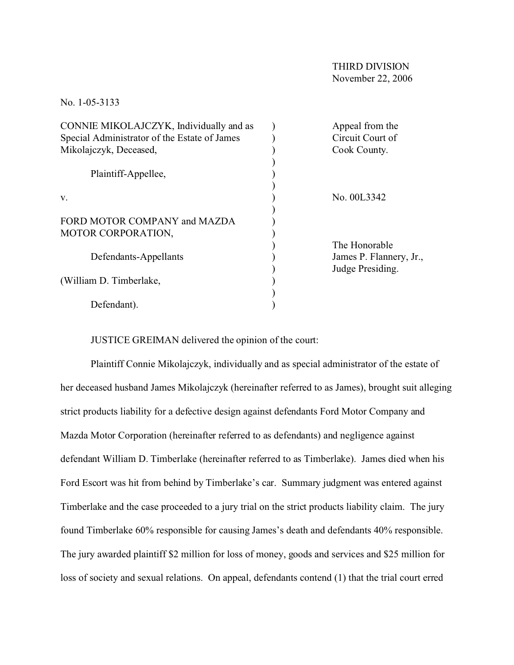No. 1-05-3133

| CONNIE MIKOLAJCZYK, Individually and as      | Appeal from the         |
|----------------------------------------------|-------------------------|
| Special Administrator of the Estate of James | Circuit Court of        |
| Mikolajczyk, Deceased,                       | Cook County.            |
|                                              |                         |
| Plaintiff-Appellee,                          |                         |
|                                              |                         |
| V.                                           | No. 00L3342             |
|                                              |                         |
| FORD MOTOR COMPANY and MAZDA                 |                         |
| MOTOR CORPORATION,                           |                         |
|                                              | The Honorable           |
| Defendants-Appellants                        | James P. Flannery, Jr., |
|                                              | Judge Presiding.        |
| (William D. Timberlake,                      |                         |
|                                              |                         |
| Defendant).                                  |                         |
|                                              |                         |

JUSTICE GREIMAN delivered the opinion of the court:

Plaintiff Connie Mikolajczyk, individually and as special administrator of the estate of her deceased husband James Mikolajczyk (hereinafter referred to as James), brought suit alleging strict products liability for a defective design against defendants Ford Motor Company and Mazda Motor Corporation (hereinafter referred to as defendants) and negligence against defendant William D. Timberlake (hereinafter referred to as Timberlake). James died when his Ford Escort was hit from behind by Timberlake's car. Summary judgment was entered against Timberlake and the case proceeded to a jury trial on the strict products liability claim. The jury found Timberlake 60% responsible for causing James's death and defendants 40% responsible. The jury awarded plaintiff \$2 million for loss of money, goods and services and \$25 million for loss of society and sexual relations. On appeal, defendants contend (1) that the trial court erred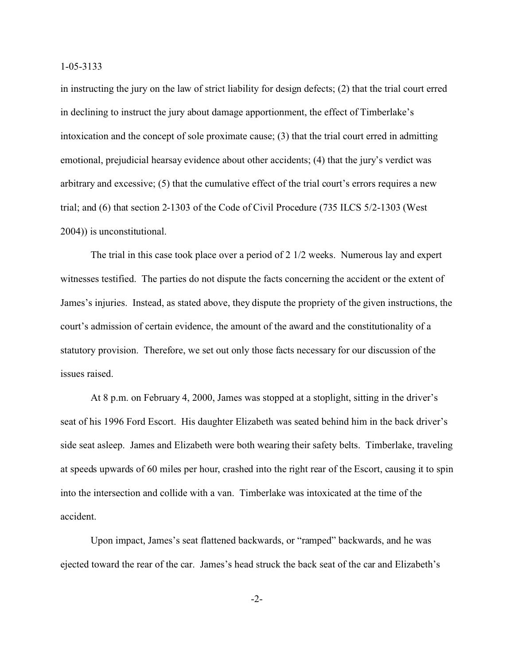in instructing the jury on the law of strict liability for design defects; (2) that the trial court erred in declining to instruct the jury about damage apportionment, the effect of Timberlake's intoxication and the concept of sole proximate cause; (3) that the trial court erred in admitting emotional, prejudicial hearsay evidence about other accidents; (4) that the jury's verdict was arbitrary and excessive; (5) that the cumulative effect of the trial court's errors requires a new trial; and (6) that section 2-1303 of the Code of Civil Procedure (735 ILCS 5/2-1303 (West 2004)) is unconstitutional.

The trial in this case took place over a period of 2 1/2 weeks. Numerous lay and expert witnesses testified. The parties do not dispute the facts concerning the accident or the extent of James's injuries. Instead, as stated above, they dispute the propriety of the given instructions, the court's admission of certain evidence, the amount of the award and the constitutionality of a statutory provision. Therefore, we set out only those facts necessary for our discussion of the issues raised.

At 8 p.m. on February 4, 2000, James was stopped at a stoplight, sitting in the driver's seat of his 1996 Ford Escort. His daughter Elizabeth was seated behind him in the back driver's side seat asleep. James and Elizabeth were both wearing their safety belts. Timberlake, traveling at speeds upwards of 60 miles per hour, crashed into the right rear of the Escort, causing it to spin into the intersection and collide with a van. Timberlake was intoxicated at the time of the accident.

Upon impact, James's seat flattened backwards, or "ramped" backwards, and he was ejected toward the rear of the car. James's head struck the back seat of the car and Elizabeth's

-2-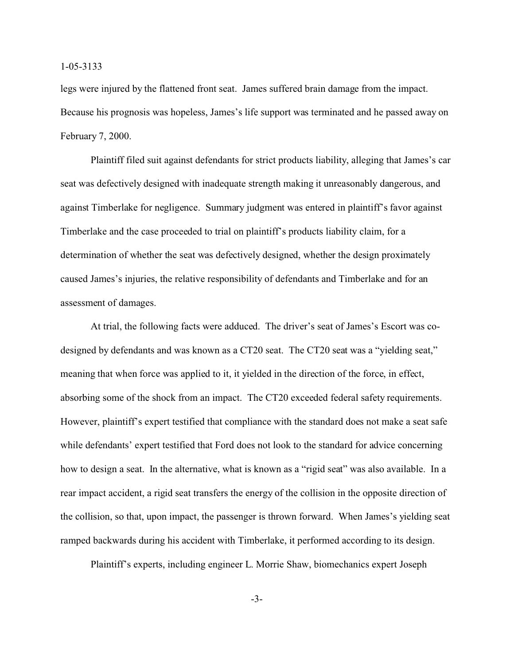legs were injured by the flattened front seat. James suffered brain damage from the impact. Because his prognosis was hopeless, James's life support was terminated and he passed away on February 7, 2000.

Plaintiff filed suit against defendants for strict products liability, alleging that James's car seat was defectively designed with inadequate strength making it unreasonably dangerous, and against Timberlake for negligence. Summary judgment was entered in plaintiff's favor against Timberlake and the case proceeded to trial on plaintiff's products liability claim, for a determination of whether the seat was defectively designed, whether the design proximately caused James's injuries, the relative responsibility of defendants and Timberlake and for an assessment of damages.

At trial, the following facts were adduced. The driver's seat of James's Escort was codesigned by defendants and was known as a CT20 seat. The CT20 seat was a "yielding seat," meaning that when force was applied to it, it yielded in the direction of the force, in effect, absorbing some of the shock from an impact. The CT20 exceeded federal safety requirements. However, plaintiff's expert testified that compliance with the standard does not make a seat safe while defendants' expert testified that Ford does not look to the standard for advice concerning how to design a seat. In the alternative, what is known as a "rigid seat" was also available. In a rear impact accident, a rigid seat transfers the energy of the collision in the opposite direction of the collision, so that, upon impact, the passenger is thrown forward. When James's yielding seat ramped backwards during his accident with Timberlake, it performed according to its design.

Plaintiff's experts, including engineer L. Morrie Shaw, biomechanics expert Joseph

-3-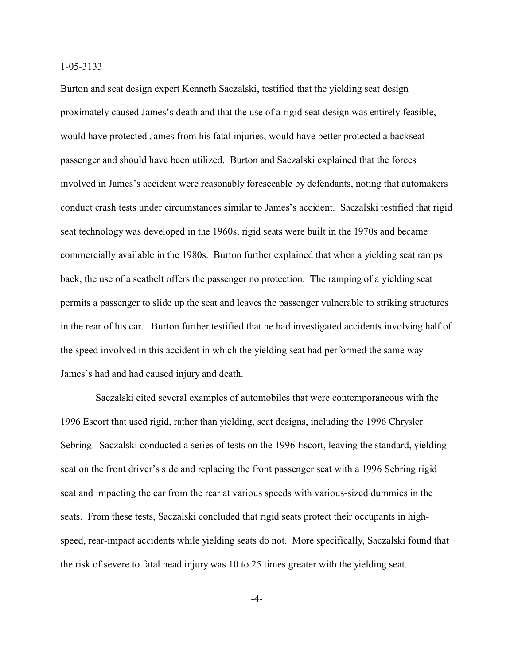Burton and seat design expert Kenneth Saczalski, testified that the yielding seat design proximately caused James's death and that the use of a rigid seat design was entirely feasible, would have protected James from his fatal injuries, would have better protected a backseat passenger and should have been utilized. Burton and Saczalski explained that the forces involved in James's accident were reasonably foreseeable by defendants, noting that automakers conduct crash tests under circumstances similar to James's accident. Saczalski testified that rigid seat technology was developed in the 1960s, rigid seats were built in the 1970s and became commercially available in the 1980s. Burton further explained that when a yielding seat ramps back, the use of a seatbelt offers the passenger no protection. The ramping of a yielding seat permits a passenger to slide up the seat and leaves the passenger vulnerable to striking structures in the rear of his car. Burton further testified that he had investigated accidents involving half of the speed involved in this accident in which the yielding seat had performed the same way James's had and had caused injury and death.

 Saczalski cited several examples of automobiles that were contemporaneous with the 1996 Escort that used rigid, rather than yielding, seat designs, including the 1996 Chrysler Sebring. Saczalski conducted a series of tests on the 1996 Escort, leaving the standard, yielding seat on the front driver's side and replacing the front passenger seat with a 1996 Sebring rigid seat and impacting the car from the rear at various speeds with various-sized dummies in the seats. From these tests, Saczalski concluded that rigid seats protect their occupants in highspeed, rear-impact accidents while yielding seats do not. More specifically, Saczalski found that the risk of severe to fatal head injury was 10 to 25 times greater with the yielding seat.

-4-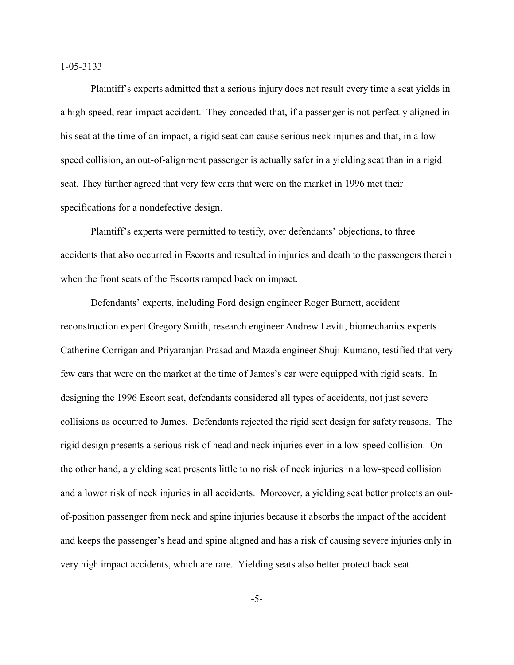Plaintiff's experts admitted that a serious injury does not result every time a seat yields in a high-speed, rear-impact accident. They conceded that, if a passenger is not perfectly aligned in his seat at the time of an impact, a rigid seat can cause serious neck injuries and that, in a lowspeed collision, an out-of-alignment passenger is actually safer in a yielding seat than in a rigid seat. They further agreed that very few cars that were on the market in 1996 met their specifications for a nondefective design.

Plaintiff's experts were permitted to testify, over defendants' objections, to three accidents that also occurred in Escorts and resulted in injuries and death to the passengers therein when the front seats of the Escorts ramped back on impact.

Defendants' experts, including Ford design engineer Roger Burnett, accident reconstruction expert Gregory Smith, research engineer Andrew Levitt, biomechanics experts Catherine Corrigan and Priyaranjan Prasad and Mazda engineer Shuji Kumano, testified that very few cars that were on the market at the time of James's car were equipped with rigid seats. In designing the 1996 Escort seat, defendants considered all types of accidents, not just severe collisions as occurred to James. Defendants rejected the rigid seat design for safety reasons. The rigid design presents a serious risk of head and neck injuries even in a low-speed collision. On the other hand, a yielding seat presents little to no risk of neck injuries in a low-speed collision and a lower risk of neck injuries in all accidents. Moreover, a yielding seat better protects an outof-position passenger from neck and spine injuries because it absorbs the impact of the accident and keeps the passenger's head and spine aligned and has a risk of causing severe injuries only in very high impact accidents, which are rare. Yielding seats also better protect back seat

-5-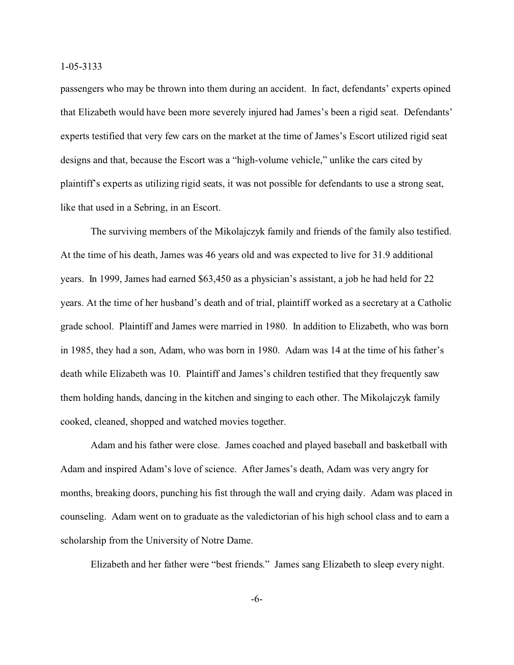passengers who may be thrown into them during an accident. In fact, defendants' experts opined that Elizabeth would have been more severely injured had James's been a rigid seat. Defendants' experts testified that very few cars on the market at the time of James's Escort utilized rigid seat designs and that, because the Escort was a "high-volume vehicle," unlike the cars cited by plaintiff's experts as utilizing rigid seats, it was not possible for defendants to use a strong seat, like that used in a Sebring, in an Escort.

The surviving members of the Mikolajczyk family and friends of the family also testified. At the time of his death, James was 46 years old and was expected to live for 31.9 additional years. In 1999, James had earned \$63,450 as a physician's assistant, a job he had held for 22 years. At the time of her husband's death and of trial, plaintiff worked as a secretary at a Catholic grade school. Plaintiff and James were married in 1980. In addition to Elizabeth, who was born in 1985, they had a son, Adam, who was born in 1980. Adam was 14 at the time of his father's death while Elizabeth was 10. Plaintiff and James's children testified that they frequently saw them holding hands, dancing in the kitchen and singing to each other. The Mikolajczyk family cooked, cleaned, shopped and watched movies together.

Adam and his father were close. James coached and played baseball and basketball with Adam and inspired Adam's love of science. After James's death, Adam was very angry for months, breaking doors, punching his fist through the wall and crying daily. Adam was placed in counseling. Adam went on to graduate as the valedictorian of his high school class and to earn a scholarship from the University of Notre Dame.

Elizabeth and her father were "best friends." James sang Elizabeth to sleep every night.

-6-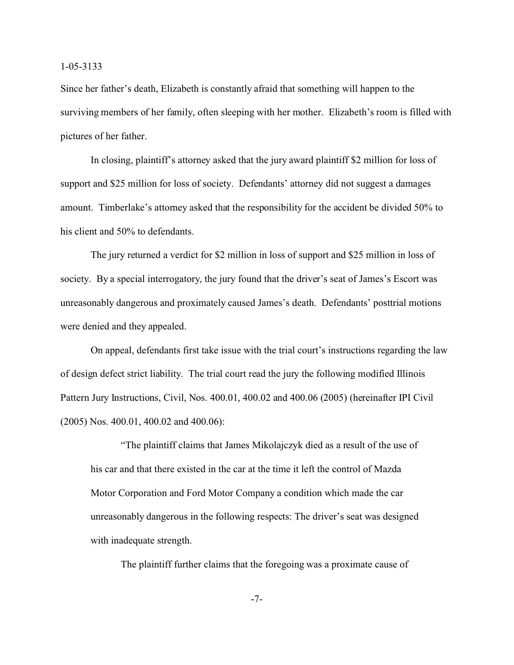Since her father's death, Elizabeth is constantly afraid that something will happen to the surviving members of her family, often sleeping with her mother. Elizabeth's room is filled with pictures of her father.

In closing, plaintiff's attorney asked that the jury award plaintiff \$2 million for loss of support and \$25 million for loss of society. Defendants' attorney did not suggest a damages amount. Timberlake's attorney asked that the responsibility for the accident be divided 50% to his client and 50% to defendants.

The jury returned a verdict for \$2 million in loss of support and \$25 million in loss of society. By a special interrogatory, the jury found that the driver's seat of James's Escort was unreasonably dangerous and proximately caused James's death. Defendants' posttrial motions were denied and they appealed.

On appeal, defendants first take issue with the trial court's instructions regarding the law of design defect strict liability. The trial court read the jury the following modified Illinois Pattern Jury Instructions, Civil, Nos. 400.01, 400.02 and 400.06 (2005) (hereinafter IPI Civil (2005) Nos. 400.01, 400.02 and 400.06):

"The plaintiff claims that James Mikolajczyk died as a result of the use of his car and that there existed in the car at the time it left the control of Mazda Motor Corporation and Ford Motor Company a condition which made the car unreasonably dangerous in the following respects: The driver's seat was designed with inadequate strength.

The plaintiff further claims that the foregoing was a proximate cause of

-7-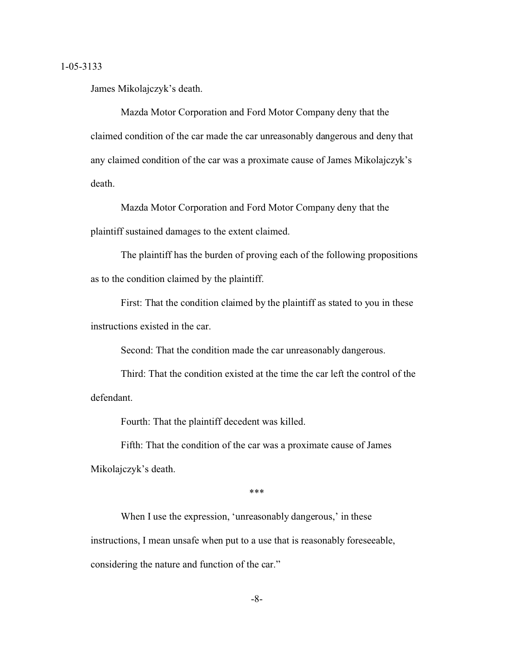James Mikolajczyk's death.

Mazda Motor Corporation and Ford Motor Company deny that the claimed condition of the car made the car unreasonably dangerous and deny that any claimed condition of the car was a proximate cause of James Mikolajczyk's death.

Mazda Motor Corporation and Ford Motor Company deny that the plaintiff sustained damages to the extent claimed.

The plaintiff has the burden of proving each of the following propositions as to the condition claimed by the plaintiff.

First: That the condition claimed by the plaintiff as stated to you in these instructions existed in the car.

Second: That the condition made the car unreasonably dangerous.

Third: That the condition existed at the time the car left the control of the defendant.

Fourth: That the plaintiff decedent was killed.

Fifth: That the condition of the car was a proximate cause of James Mikolajczyk's death.

\*\*\*

When I use the expression, 'unreasonably dangerous,' in these instructions, I mean unsafe when put to a use that is reasonably foreseeable, considering the nature and function of the car."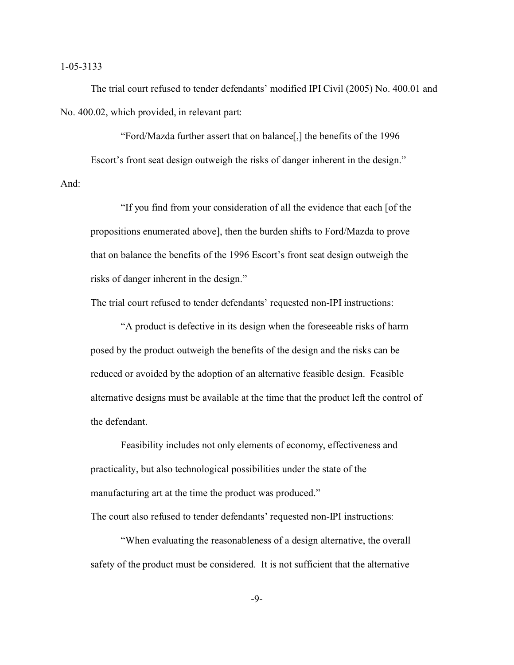The trial court refused to tender defendants' modified IPI Civil (2005) No. 400.01 and No. 400.02, which provided, in relevant part:

"Ford/Mazda further assert that on balance[,] the benefits of the 1996 Escort's front seat design outweigh the risks of danger inherent in the design." And:

"If you find from your consideration of all the evidence that each [of the propositions enumerated above], then the burden shifts to Ford/Mazda to prove that on balance the benefits of the 1996 Escort's front seat design outweigh the risks of danger inherent in the design."

The trial court refused to tender defendants' requested non-IPI instructions:

"A product is defective in its design when the foreseeable risks of harm posed by the product outweigh the benefits of the design and the risks can be reduced or avoided by the adoption of an alternative feasible design. Feasible alternative designs must be available at the time that the product left the control of the defendant.

Feasibility includes not only elements of economy, effectiveness and practicality, but also technological possibilities under the state of the manufacturing art at the time the product was produced."

The court also refused to tender defendants' requested non-IPI instructions:

"When evaluating the reasonableness of a design alternative, the overall safety of the product must be considered. It is not sufficient that the alternative

-9-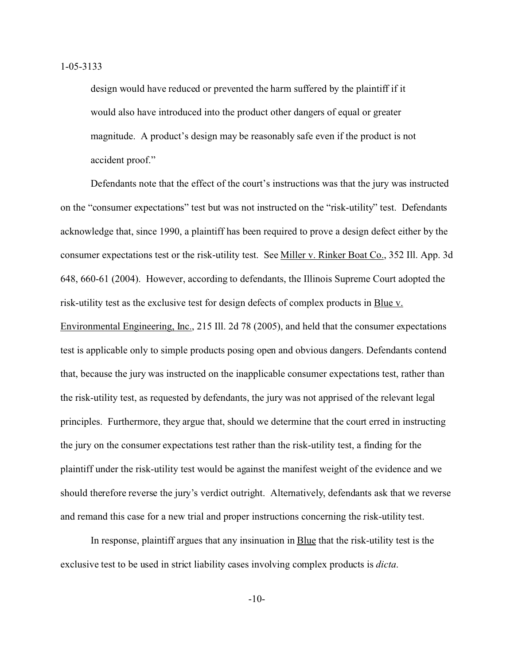design would have reduced or prevented the harm suffered by the plaintiff if it would also have introduced into the product other dangers of equal or greater magnitude. A product's design may be reasonably safe even if the product is not accident proof."

Defendants note that the effect of the court's instructions was that the jury was instructed on the "consumer expectations" test but was not instructed on the "risk-utility" test. Defendants acknowledge that, since 1990, a plaintiff has been required to prove a design defect either by the consumer expectations test or the risk-utility test. See Miller v. Rinker Boat Co., 352 Ill. App. 3d 648, 660-61 (2004). However, according to defendants, the Illinois Supreme Court adopted the risk-utility test as the exclusive test for design defects of complex products in Blue v. Environmental Engineering, Inc., 215 Ill. 2d 78 (2005), and held that the consumer expectations test is applicable only to simple products posing open and obvious dangers. Defendants contend that, because the jury was instructed on the inapplicable consumer expectations test, rather than the risk-utility test, as requested by defendants, the jury was not apprised of the relevant legal principles. Furthermore, they argue that, should we determine that the court erred in instructing the jury on the consumer expectations test rather than the risk-utility test, a finding for the plaintiff under the risk-utility test would be against the manifest weight of the evidence and we should therefore reverse the jury's verdict outright. Alternatively, defendants ask that we reverse and remand this case for a new trial and proper instructions concerning the risk-utility test.

In response, plaintiff argues that any insinuation in Blue that the risk-utility test is the exclusive test to be used in strict liability cases involving complex products is *dicta*.

-10-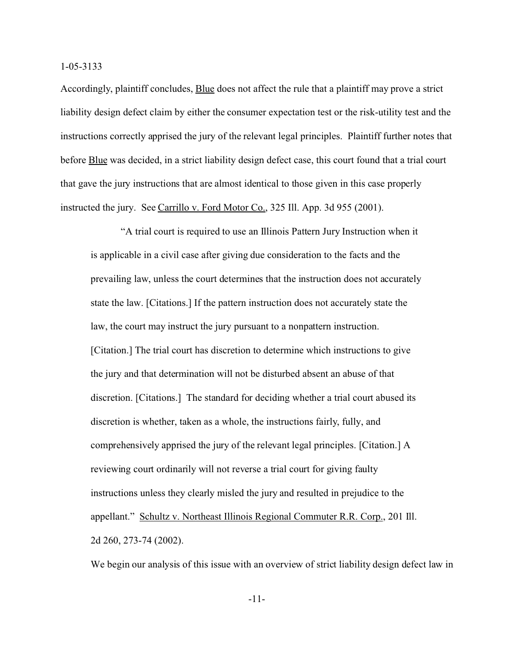Accordingly, plaintiff concludes, Blue does not affect the rule that a plaintiff may prove a strict liability design defect claim by either the consumer expectation test or the risk-utility test and the instructions correctly apprised the jury of the relevant legal principles. Plaintiff further notes that before **Blue** was decided, in a strict liability design defect case, this court found that a trial court that gave the jury instructions that are almost identical to those given in this case properly instructed the jury. See Carrillo v. Ford Motor Co., 325 Ill. App. 3d 955 (2001).

"A trial court is required to use an Illinois Pattern Jury Instruction when it is applicable in a civil case after giving due consideration to the facts and the prevailing law, unless the court determines that the instruction does not accurately state the law. [Citations.] If the pattern instruction does not accurately state the law, the court may instruct the jury pursuant to a nonpattern instruction. [Citation.] The trial court has discretion to determine which instructions to give the jury and that determination will not be disturbed absent an abuse of that discretion. [Citations.] The standard for deciding whether a trial court abused its discretion is whether, taken as a whole, the instructions fairly, fully, and comprehensively apprised the jury of the relevant legal principles. [Citation.] A reviewing court ordinarily will not reverse a trial court for giving faulty instructions unless they clearly misled the jury and resulted in prejudice to the appellant." Schultz v. Northeast Illinois Regional Commuter R.R. Corp., 201 Ill. 2d 260, 273-74 (2002).

We begin our analysis of this issue with an overview of strict liability design defect law in

-11-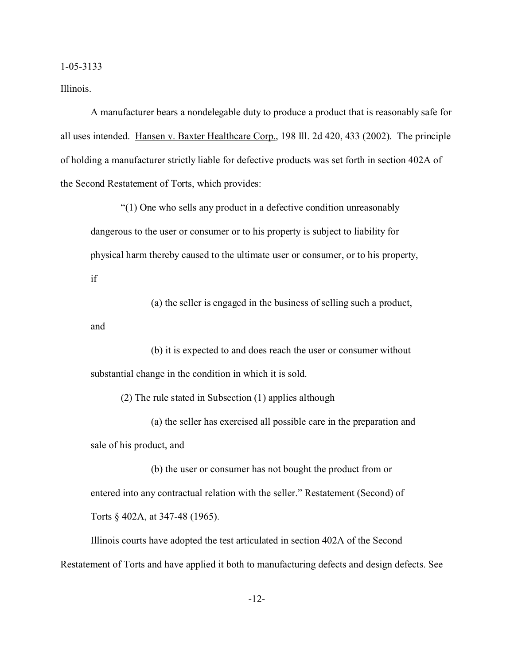Illinois.

A manufacturer bears a nondelegable duty to produce a product that is reasonably safe for all uses intended. Hansen v. Baxter Healthcare Corp., 198 Ill. 2d 420, 433 (2002). The principle of holding a manufacturer strictly liable for defective products was set forth in section 402A of the Second Restatement of Torts, which provides:

"(1) One who sells any product in a defective condition unreasonably dangerous to the user or consumer or to his property is subject to liability for physical harm thereby caused to the ultimate user or consumer, or to his property, if

(a) the seller is engaged in the business of selling such a product, and

(b) it is expected to and does reach the user or consumer without substantial change in the condition in which it is sold.

(2) The rule stated in Subsection (1) applies although

(a) the seller has exercised all possible care in the preparation and sale of his product, and

(b) the user or consumer has not bought the product from or entered into any contractual relation with the seller." Restatement (Second) of Torts § 402A, at 347-48 (1965).

Illinois courts have adopted the test articulated in section 402A of the Second Restatement of Torts and have applied it both to manufacturing defects and design defects. See

-12-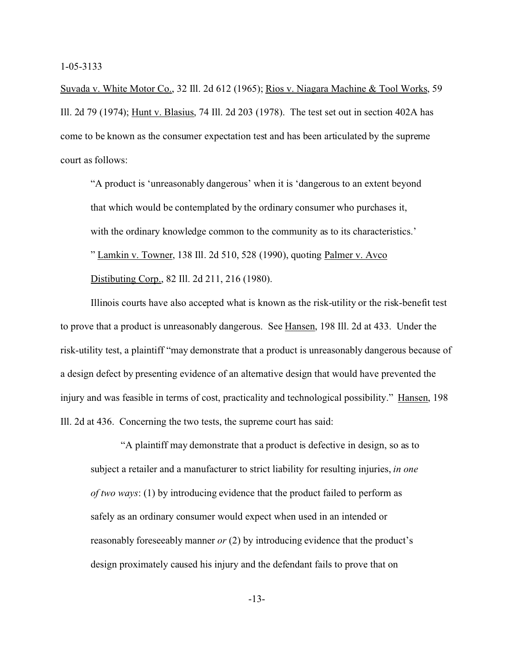Suvada v. White Motor Co., 32 Ill. 2d 612 (1965); Rios v. Niagara Machine & Tool Works, 59 Ill. 2d 79 (1974); Hunt v. Blasius, 74 Ill. 2d 203 (1978). The test set out in section 402A has come to be known as the consumer expectation test and has been articulated by the supreme court as follows:

"A product is 'unreasonably dangerous' when it is 'dangerous to an extent beyond that which would be contemplated by the ordinary consumer who purchases it, with the ordinary knowledge common to the community as to its characteristics.' " Lamkin v. Towner, 138 Ill. 2d 510, 528 (1990), quoting Palmer v. Avco Distibuting Corp., 82 Ill. 2d 211, 216 (1980).

Illinois courts have also accepted what is known as the risk-utility or the risk-benefit test to prove that a product is unreasonably dangerous. See Hansen, 198 Ill. 2d at 433. Under the risk-utility test, a plaintiff "may demonstrate that a product is unreasonably dangerous because of a design defect by presenting evidence of an alternative design that would have prevented the injury and was feasible in terms of cost, practicality and technological possibility." Hansen, 198 Ill. 2d at 436. Concerning the two tests, the supreme court has said:

"A plaintiff may demonstrate that a product is defective in design, so as to subject a retailer and a manufacturer to strict liability for resulting injuries, *in one of two ways*: (1) by introducing evidence that the product failed to perform as safely as an ordinary consumer would expect when used in an intended or reasonably foreseeably manner *or* (2) by introducing evidence that the product's design proximately caused his injury and the defendant fails to prove that on

-13-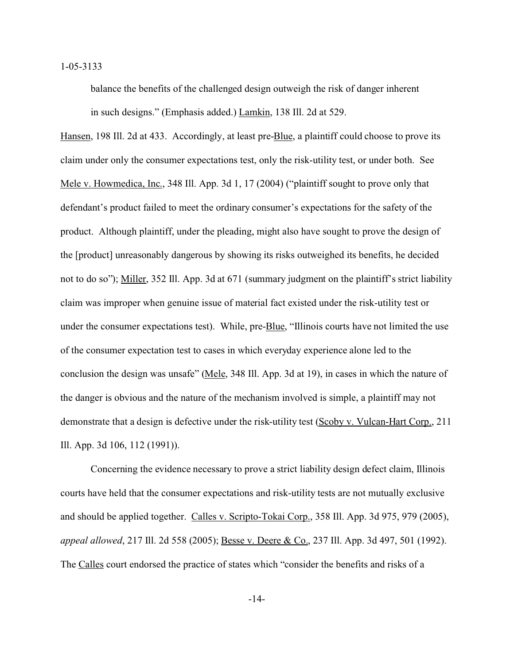balance the benefits of the challenged design outweigh the risk of danger inherent in such designs." (Emphasis added.) Lamkin, 138 Ill. 2d at 529.

Hansen, 198 Ill. 2d at 433. Accordingly, at least pre-Blue, a plaintiff could choose to prove its claim under only the consumer expectations test, only the risk-utility test, or under both. See Mele v. Howmedica, Inc., 348 Ill. App. 3d 1, 17 (2004) ("plaintiff sought to prove only that defendant's product failed to meet the ordinary consumer's expectations for the safety of the product. Although plaintiff, under the pleading, might also have sought to prove the design of the [product] unreasonably dangerous by showing its risks outweighed its benefits, he decided not to do so"); Miller, 352 Ill. App. 3d at 671 (summary judgment on the plaintiff's strict liability claim was improper when genuine issue of material fact existed under the risk-utility test or under the consumer expectations test). While, pre-**Blue**, "Illinois courts have not limited the use of the consumer expectation test to cases in which everyday experience alone led to the conclusion the design was unsafe" (Mele, 348 Ill. App. 3d at 19), in cases in which the nature of the danger is obvious and the nature of the mechanism involved is simple, a plaintiff may not demonstrate that a design is defective under the risk-utility test (Scoby v. Vulcan-Hart Corp., 211 Ill. App. 3d 106, 112 (1991)).

Concerning the evidence necessary to prove a strict liability design defect claim, Illinois courts have held that the consumer expectations and risk-utility tests are not mutually exclusive and should be applied together. Calles v. Scripto-Tokai Corp., 358 Ill. App. 3d 975, 979 (2005), *appeal allowed*, 217 Ill. 2d 558 (2005); Besse v. Deere & Co., 237 Ill. App. 3d 497, 501 (1992). The Calles court endorsed the practice of states which "consider the benefits and risks of a

-14-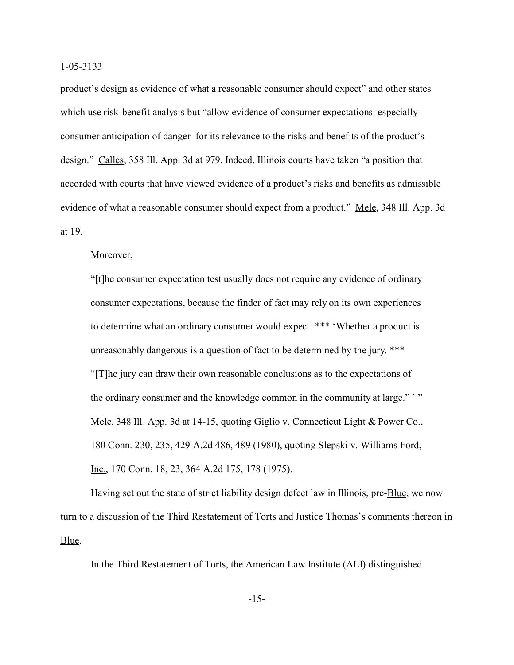product's design as evidence of what a reasonable consumer should expect" and other states which use risk-benefit analysis but "allow evidence of consumer expectations–especially consumer anticipation of danger–for its relevance to the risks and benefits of the product's design." Calles, 358 Ill. App. 3d at 979. Indeed, Illinois courts have taken "a position that accorded with courts that have viewed evidence of a product's risks and benefits as admissible evidence of what a reasonable consumer should expect from a product." Mele, 348 Ill. App. 3d at 19.

Moreover,

"[t]he consumer expectation test usually does not require any evidence of ordinary consumer expectations, because the finder of fact may rely on its own experiences to determine what an ordinary consumer would expect. \*\*\* 'Whether a product is unreasonably dangerous is a question of fact to be determined by the jury. \*\*\* "[T]he jury can draw their own reasonable conclusions as to the expectations of the ordinary consumer and the knowledge common in the community at large." " Mele, 348 Ill. App. 3d at 14-15, quoting Giglio v. Connecticut Light & Power Co., 180 Conn. 230, 235, 429 A.2d 486, 489 (1980), quoting Slepski v. Williams Ford, Inc., 170 Conn. 18, 23, 364 A.2d 175, 178 (1975).

Having set out the state of strict liability design defect law in Illinois, pre-**Blue**, we now turn to a discussion of the Third Restatement of Torts and Justice Thomas's comments thereon in Blue.

In the Third Restatement of Torts, the American Law Institute (ALI) distinguished

-15-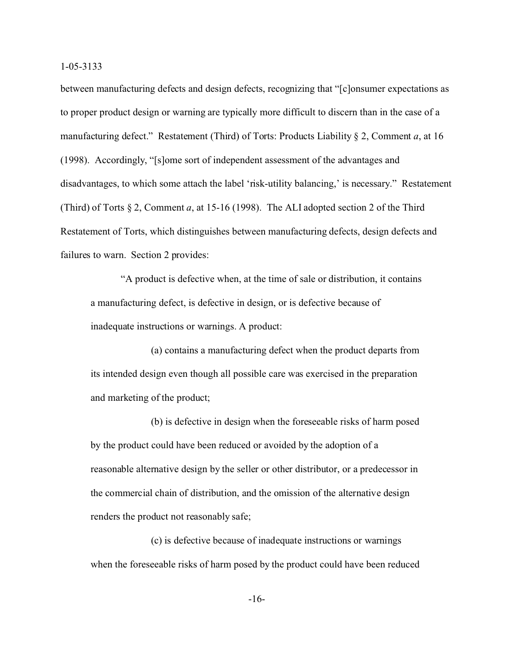between manufacturing defects and design defects, recognizing that "[c]onsumer expectations as to proper product design or warning are typically more difficult to discern than in the case of a manufacturing defect." Restatement (Third) of Torts: Products Liability § 2, Comment *a*, at 16 (1998). Accordingly, "[s]ome sort of independent assessment of the advantages and disadvantages, to which some attach the label 'risk-utility balancing,' is necessary." Restatement (Third) of Torts § 2, Comment *a*, at 15-16 (1998). The ALI adopted section 2 of the Third Restatement of Torts, which distinguishes between manufacturing defects, design defects and failures to warn. Section 2 provides:

"A product is defective when, at the time of sale or distribution, it contains a manufacturing defect, is defective in design, or is defective because of inadequate instructions or warnings. A product:

(a) contains a manufacturing defect when the product departs from its intended design even though all possible care was exercised in the preparation and marketing of the product;

(b) is defective in design when the foreseeable risks of harm posed by the product could have been reduced or avoided by the adoption of a reasonable alternative design by the seller or other distributor, or a predecessor in the commercial chain of distribution, and the omission of the alternative design renders the product not reasonably safe;

(c) is defective because of inadequate instructions or warnings when the foreseeable risks of harm posed by the product could have been reduced

-16-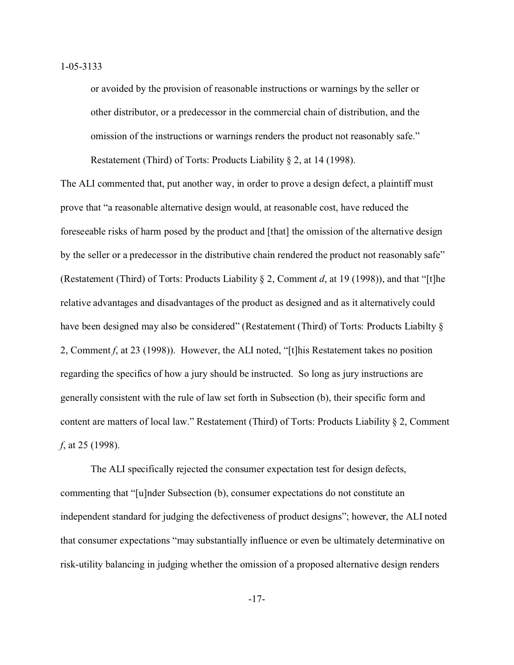or avoided by the provision of reasonable instructions or warnings by the seller or other distributor, or a predecessor in the commercial chain of distribution, and the omission of the instructions or warnings renders the product not reasonably safe." Restatement (Third) of Torts: Products Liability § 2, at 14 (1998).

The ALI commented that, put another way, in order to prove a design defect, a plaintiff must prove that "a reasonable alternative design would, at reasonable cost, have reduced the foreseeable risks of harm posed by the product and [that] the omission of the alternative design by the seller or a predecessor in the distributive chain rendered the product not reasonably safe" (Restatement (Third) of Torts: Products Liability § 2, Comment *d*, at 19 (1998)), and that "[t]he relative advantages and disadvantages of the product as designed and as it alternatively could have been designed may also be considered" (Restatement (Third) of Torts: Products Liabilty  $\S$ 2, Comment *f*, at 23 (1998)). However, the ALI noted, "[t]his Restatement takes no position regarding the specifics of how a jury should be instructed. So long as jury instructions are generally consistent with the rule of law set forth in Subsection (b), their specific form and content are matters of local law." Restatement (Third) of Torts: Products Liability § 2, Comment *f*, at 25 (1998).

The ALI specifically rejected the consumer expectation test for design defects, commenting that "[u]nder Subsection (b), consumer expectations do not constitute an independent standard for judging the defectiveness of product designs"; however, the ALI noted that consumer expectations "may substantially influence or even be ultimately determinative on risk-utility balancing in judging whether the omission of a proposed alternative design renders

-17-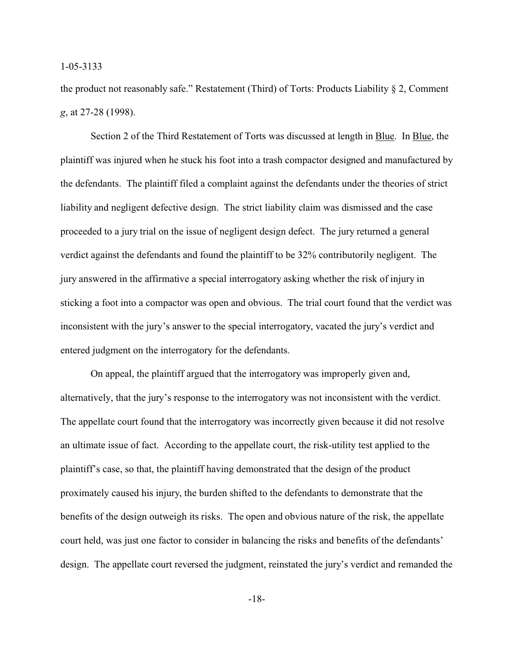the product not reasonably safe." Restatement (Third) of Torts: Products Liability § 2, Comment *g*, at 27-28 (1998).

Section 2 of the Third Restatement of Torts was discussed at length in Blue. In Blue, the plaintiff was injured when he stuck his foot into a trash compactor designed and manufactured by the defendants. The plaintiff filed a complaint against the defendants under the theories of strict liability and negligent defective design. The strict liability claim was dismissed and the case proceeded to a jury trial on the issue of negligent design defect. The jury returned a general verdict against the defendants and found the plaintiff to be 32% contributorily negligent. The jury answered in the affirmative a special interrogatory asking whether the risk of injury in sticking a foot into a compactor was open and obvious. The trial court found that the verdict was inconsistent with the jury's answer to the special interrogatory, vacated the jury's verdict and entered judgment on the interrogatory for the defendants.

On appeal, the plaintiff argued that the interrogatory was improperly given and, alternatively, that the jury's response to the interrogatory was not inconsistent with the verdict. The appellate court found that the interrogatory was incorrectly given because it did not resolve an ultimate issue of fact. According to the appellate court, the risk-utility test applied to the plaintiff's case, so that, the plaintiff having demonstrated that the design of the product proximately caused his injury, the burden shifted to the defendants to demonstrate that the benefits of the design outweigh its risks. The open and obvious nature of the risk, the appellate court held, was just one factor to consider in balancing the risks and benefits of the defendants' design. The appellate court reversed the judgment, reinstated the jury's verdict and remanded the

-18-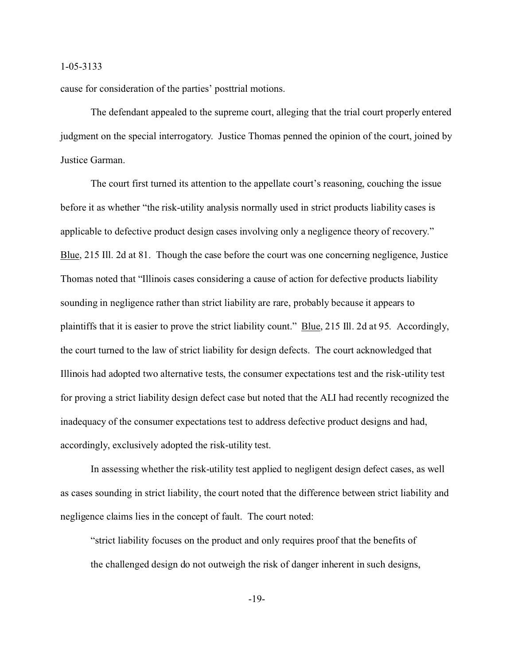cause for consideration of the parties' posttrial motions.

The defendant appealed to the supreme court, alleging that the trial court properly entered judgment on the special interrogatory. Justice Thomas penned the opinion of the court, joined by Justice Garman.

The court first turned its attention to the appellate court's reasoning, couching the issue before it as whether "the risk-utility analysis normally used in strict products liability cases is applicable to defective product design cases involving only a negligence theory of recovery." Blue, 215 Ill. 2d at 81. Though the case before the court was one concerning negligence, Justice Thomas noted that "Illinois cases considering a cause of action for defective products liability sounding in negligence rather than strict liability are rare, probably because it appears to plaintiffs that it is easier to prove the strict liability count." Blue, 215 Ill. 2d at 95. Accordingly, the court turned to the law of strict liability for design defects. The court acknowledged that Illinois had adopted two alternative tests, the consumer expectations test and the risk-utility test for proving a strict liability design defect case but noted that the ALI had recently recognized the inadequacy of the consumer expectations test to address defective product designs and had, accordingly, exclusively adopted the risk-utility test.

In assessing whether the risk-utility test applied to negligent design defect cases, as well as cases sounding in strict liability, the court noted that the difference between strict liability and negligence claims lies in the concept of fault. The court noted:

"strict liability focuses on the product and only requires proof that the benefits of the challenged design do not outweigh the risk of danger inherent in such designs,

-19-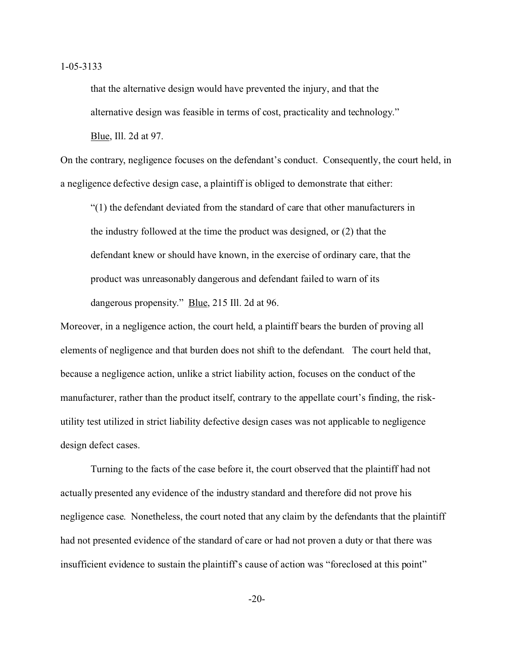that the alternative design would have prevented the injury, and that the alternative design was feasible in terms of cost, practicality and technology." Blue, Ill. 2d at 97.

On the contrary, negligence focuses on the defendant's conduct. Consequently, the court held, in a negligence defective design case, a plaintiff is obliged to demonstrate that either:

"(1) the defendant deviated from the standard of care that other manufacturers in the industry followed at the time the product was designed, or (2) that the defendant knew or should have known, in the exercise of ordinary care, that the product was unreasonably dangerous and defendant failed to warn of its dangerous propensity." Blue, 215 Ill. 2d at 96.

Moreover, in a negligence action, the court held, a plaintiff bears the burden of proving all elements of negligence and that burden does not shift to the defendant. The court held that, because a negligence action, unlike a strict liability action, focuses on the conduct of the manufacturer, rather than the product itself, contrary to the appellate court's finding, the riskutility test utilized in strict liability defective design cases was not applicable to negligence design defect cases.

Turning to the facts of the case before it, the court observed that the plaintiff had not actually presented any evidence of the industry standard and therefore did not prove his negligence case. Nonetheless, the court noted that any claim by the defendants that the plaintiff had not presented evidence of the standard of care or had not proven a duty or that there was insufficient evidence to sustain the plaintiff's cause of action was "foreclosed at this point"

-20-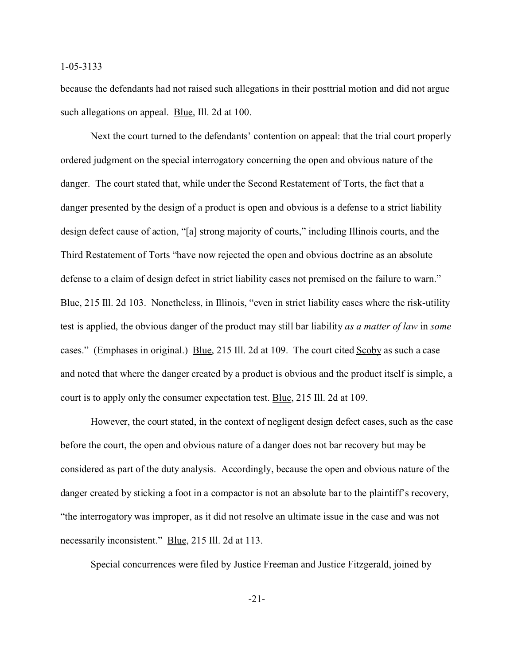because the defendants had not raised such allegations in their posttrial motion and did not argue such allegations on appeal. Blue, Ill. 2d at 100.

Next the court turned to the defendants' contention on appeal: that the trial court properly ordered judgment on the special interrogatory concerning the open and obvious nature of the danger. The court stated that, while under the Second Restatement of Torts, the fact that a danger presented by the design of a product is open and obvious is a defense to a strict liability design defect cause of action, "[a] strong majority of courts," including Illinois courts, and the Third Restatement of Torts "have now rejected the open and obvious doctrine as an absolute defense to a claim of design defect in strict liability cases not premised on the failure to warn." Blue, 215 Ill. 2d 103. Nonetheless, in Illinois, "even in strict liability cases where the risk-utility test is applied, the obvious danger of the product may still bar liability *as a matter of law* in *some* cases." (Emphases in original.) Blue, 215 Ill. 2d at 109. The court cited Scoby as such a case and noted that where the danger created by a product is obvious and the product itself is simple, a court is to apply only the consumer expectation test. Blue, 215 Ill. 2d at 109.

However, the court stated, in the context of negligent design defect cases, such as the case before the court, the open and obvious nature of a danger does not bar recovery but may be considered as part of the duty analysis. Accordingly, because the open and obvious nature of the danger created by sticking a foot in a compactor is not an absolute bar to the plaintiff's recovery, "the interrogatory was improper, as it did not resolve an ultimate issue in the case and was not necessarily inconsistent." Blue, 215 Ill. 2d at 113.

Special concurrences were filed by Justice Freeman and Justice Fitzgerald, joined by

-21-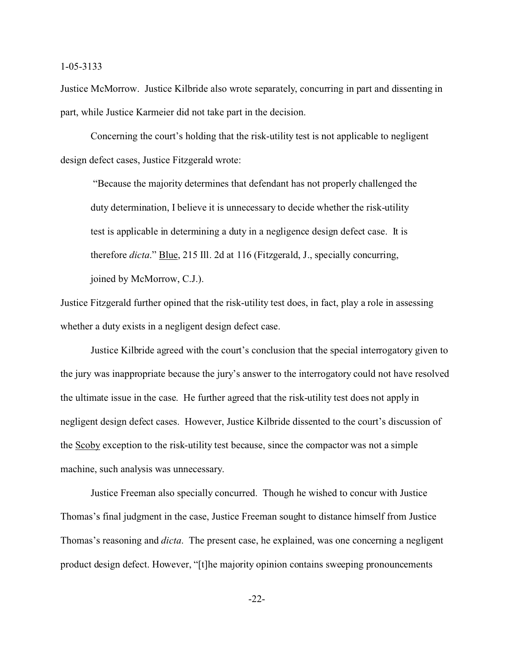Justice McMorrow. Justice Kilbride also wrote separately, concurring in part and dissenting in part, while Justice Karmeier did not take part in the decision.

Concerning the court's holding that the risk-utility test is not applicable to negligent design defect cases, Justice Fitzgerald wrote:

 "Because the majority determines that defendant has not properly challenged the duty determination, I believe it is unnecessary to decide whether the risk-utility test is applicable in determining a duty in a negligence design defect case. It is therefore *dicta*." Blue, 215 Ill. 2d at 116 (Fitzgerald, J., specially concurring, joined by McMorrow, C.J.).

Justice Fitzgerald further opined that the risk-utility test does, in fact, play a role in assessing whether a duty exists in a negligent design defect case.

Justice Kilbride agreed with the court's conclusion that the special interrogatory given to the jury was inappropriate because the jury's answer to the interrogatory could not have resolved the ultimate issue in the case. He further agreed that the risk-utility test does not apply in negligent design defect cases. However, Justice Kilbride dissented to the court's discussion of the Scoby exception to the risk-utility test because, since the compactor was not a simple machine, such analysis was unnecessary.

Justice Freeman also specially concurred. Though he wished to concur with Justice Thomas's final judgment in the case, Justice Freeman sought to distance himself from Justice Thomas's reasoning and *dicta*. The present case, he explained, was one concerning a negligent product design defect. However, "[t]he majority opinion contains sweeping pronouncements

-22-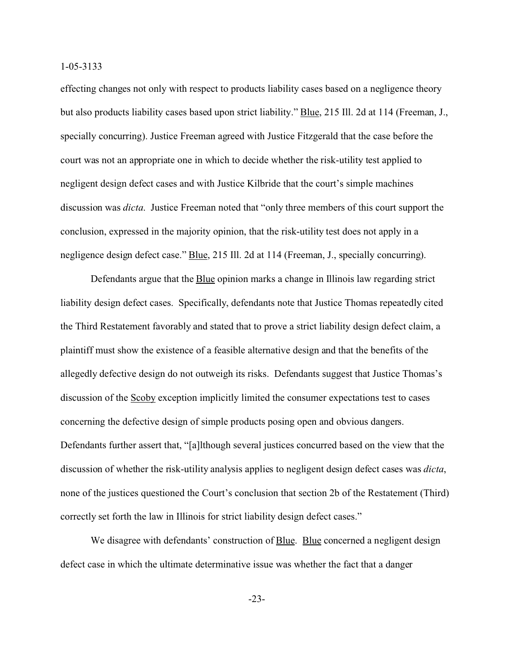effecting changes not only with respect to products liability cases based on a negligence theory but also products liability cases based upon strict liability." Blue, 215 Ill. 2d at 114 (Freeman, J., specially concurring). Justice Freeman agreed with Justice Fitzgerald that the case before the court was not an appropriate one in which to decide whether the risk-utility test applied to negligent design defect cases and with Justice Kilbride that the court's simple machines discussion was *dicta*. Justice Freeman noted that "only three members of this court support the conclusion, expressed in the majority opinion, that the risk-utility test does not apply in a negligence design defect case." Blue, 215 Ill. 2d at 114 (Freeman, J., specially concurring).

Defendants argue that the Blue opinion marks a change in Illinois law regarding strict liability design defect cases. Specifically, defendants note that Justice Thomas repeatedly cited the Third Restatement favorably and stated that to prove a strict liability design defect claim, a plaintiff must show the existence of a feasible alternative design and that the benefits of the allegedly defective design do not outweigh its risks. Defendants suggest that Justice Thomas's discussion of the Scoby exception implicitly limited the consumer expectations test to cases concerning the defective design of simple products posing open and obvious dangers. Defendants further assert that, "[a]lthough several justices concurred based on the view that the discussion of whether the risk-utility analysis applies to negligent design defect cases was *dicta*, none of the justices questioned the Court's conclusion that section 2b of the Restatement (Third) correctly set forth the law in Illinois for strict liability design defect cases."

We disagree with defendants' construction of Blue. Blue concerned a negligent design defect case in which the ultimate determinative issue was whether the fact that a danger

-23-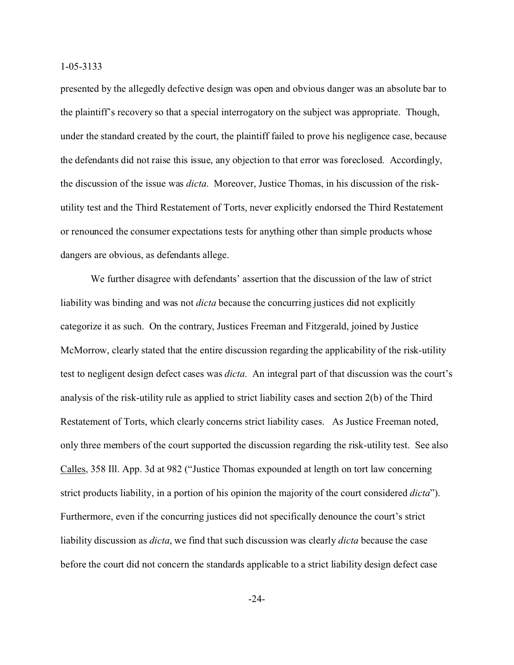presented by the allegedly defective design was open and obvious danger was an absolute bar to the plaintiff's recovery so that a special interrogatory on the subject was appropriate. Though, under the standard created by the court, the plaintiff failed to prove his negligence case, because the defendants did not raise this issue, any objection to that error was foreclosed. Accordingly, the discussion of the issue was *dicta*. Moreover, Justice Thomas, in his discussion of the riskutility test and the Third Restatement of Torts, never explicitly endorsed the Third Restatement or renounced the consumer expectations tests for anything other than simple products whose dangers are obvious, as defendants allege.

We further disagree with defendants' assertion that the discussion of the law of strict liability was binding and was not *dicta* because the concurring justices did not explicitly categorize it as such. On the contrary, Justices Freeman and Fitzgerald, joined by Justice McMorrow, clearly stated that the entire discussion regarding the applicability of the risk-utility test to negligent design defect cases was *dicta*. An integral part of that discussion was the court's analysis of the risk-utility rule as applied to strict liability cases and section 2(b) of the Third Restatement of Torts, which clearly concerns strict liability cases. As Justice Freeman noted, only three members of the court supported the discussion regarding the risk-utility test. See also Calles, 358 Ill. App. 3d at 982 ("Justice Thomas expounded at length on tort law concerning strict products liability, in a portion of his opinion the majority of the court considered *dicta*"). Furthermore, even if the concurring justices did not specifically denounce the court's strict liability discussion as *dicta*, we find that such discussion was clearly *dicta* because the case before the court did not concern the standards applicable to a strict liability design defect case

-24-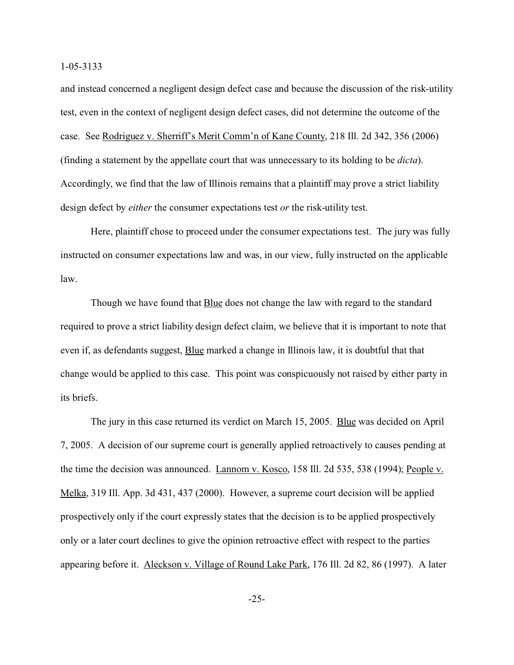and instead concerned a negligent design defect case and because the discussion of the risk-utility test, even in the context of negligent design defect cases, did not determine the outcome of the case. See Rodriguez v. Sherriff's Merit Comm'n of Kane County, 218 Ill. 2d 342, 356 (2006) (finding a statement by the appellate court that was unnecessary to its holding to be *dicta*). Accordingly, we find that the law of Illinois remains that a plaintiff may prove a strict liability design defect by *either* the consumer expectations test *or* the risk-utility test.

Here, plaintiff chose to proceed under the consumer expectations test. The jury was fully instructed on consumer expectations law and was, in our view, fully instructed on the applicable law.

Though we have found that **Blue** does not change the law with regard to the standard required to prove a strict liability design defect claim, we believe that it is important to note that even if, as defendants suggest, **Blue** marked a change in Illinois law, it is doubtful that that change would be applied to this case. This point was conspicuously not raised by either party in its briefs.

The jury in this case returned its verdict on March 15, 2005. Blue was decided on April 7, 2005. A decision of our supreme court is generally applied retroactively to causes pending at the time the decision was announced. Lannom v. Kosco, 158 Ill. 2d 535, 538 (1994); People v. Melka, 319 Ill. App. 3d 431, 437 (2000). However, a supreme court decision will be applied prospectively only if the court expressly states that the decision is to be applied prospectively only or a later court declines to give the opinion retroactive effect with respect to the parties appearing before it. Aleckson v. Village of Round Lake Park, 176 Ill. 2d 82, 86 (1997). A later

-25-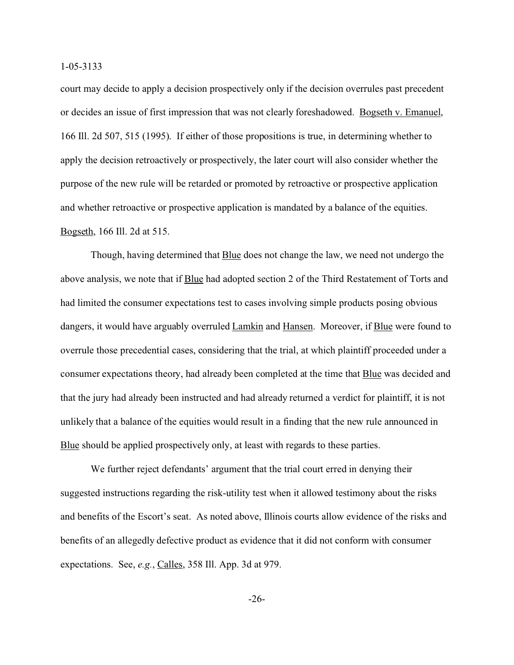court may decide to apply a decision prospectively only if the decision overrules past precedent or decides an issue of first impression that was not clearly foreshadowed. Bogseth v. Emanuel, 166 Ill. 2d 507, 515 (1995). If either of those propositions is true, in determining whether to apply the decision retroactively or prospectively, the later court will also consider whether the purpose of the new rule will be retarded or promoted by retroactive or prospective application and whether retroactive or prospective application is mandated by a balance of the equities. Bogseth, 166 Ill. 2d at 515.

Though, having determined that **Blue** does not change the law, we need not undergo the above analysis, we note that if Blue had adopted section 2 of the Third Restatement of Torts and had limited the consumer expectations test to cases involving simple products posing obvious dangers, it would have arguably overruled Lamkin and Hansen. Moreover, if Blue were found to overrule those precedential cases, considering that the trial, at which plaintiff proceeded under a consumer expectations theory, had already been completed at the time that Blue was decided and that the jury had already been instructed and had already returned a verdict for plaintiff, it is not unlikely that a balance of the equities would result in a finding that the new rule announced in Blue should be applied prospectively only, at least with regards to these parties.

We further reject defendants' argument that the trial court erred in denying their suggested instructions regarding the risk-utility test when it allowed testimony about the risks and benefits of the Escort's seat. As noted above, Illinois courts allow evidence of the risks and benefits of an allegedly defective product as evidence that it did not conform with consumer expectations. See, *e.g.*, Calles, 358 Ill. App. 3d at 979.

-26-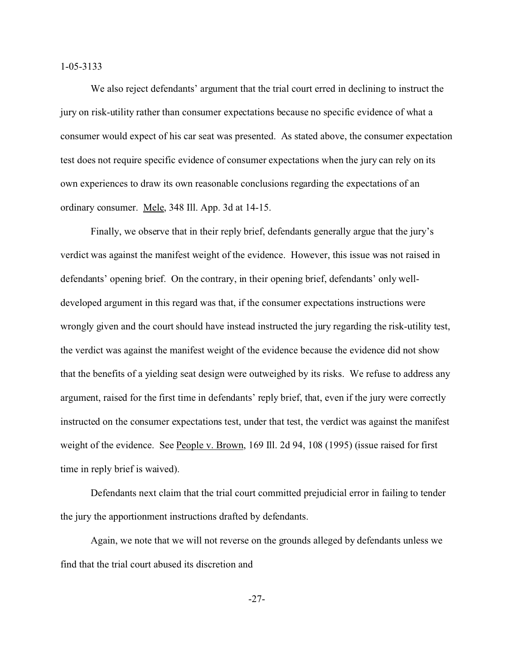We also reject defendants' argument that the trial court erred in declining to instruct the jury on risk-utility rather than consumer expectations because no specific evidence of what a consumer would expect of his car seat was presented. As stated above, the consumer expectation test does not require specific evidence of consumer expectations when the jury can rely on its own experiences to draw its own reasonable conclusions regarding the expectations of an ordinary consumer. Mele, 348 Ill. App. 3d at 14-15.

Finally, we observe that in their reply brief, defendants generally argue that the jury's verdict was against the manifest weight of the evidence. However, this issue was not raised in defendants' opening brief. On the contrary, in their opening brief, defendants' only welldeveloped argument in this regard was that, if the consumer expectations instructions were wrongly given and the court should have instead instructed the jury regarding the risk-utility test, the verdict was against the manifest weight of the evidence because the evidence did not show that the benefits of a yielding seat design were outweighed by its risks. We refuse to address any argument, raised for the first time in defendants' reply brief, that, even if the jury were correctly instructed on the consumer expectations test, under that test, the verdict was against the manifest weight of the evidence. See People v. Brown, 169 Ill. 2d 94, 108 (1995) (issue raised for first time in reply brief is waived).

Defendants next claim that the trial court committed prejudicial error in failing to tender the jury the apportionment instructions drafted by defendants.

Again, we note that we will not reverse on the grounds alleged by defendants unless we find that the trial court abused its discretion and

-27-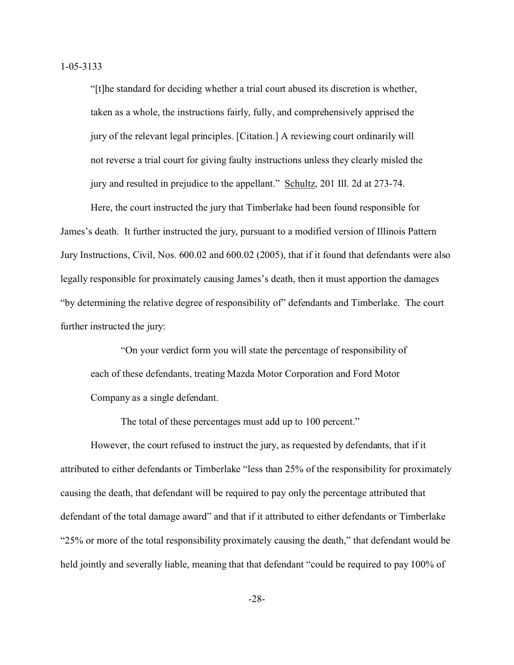"[t]he standard for deciding whether a trial court abused its discretion is whether, taken as a whole, the instructions fairly, fully, and comprehensively apprised the jury of the relevant legal principles. [Citation.] A reviewing court ordinarily will not reverse a trial court for giving faulty instructions unless they clearly misled the jury and resulted in prejudice to the appellant." Schultz, 201 Ill. 2d at 273-74.

Here, the court instructed the jury that Timberlake had been found responsible for James's death. It further instructed the jury, pursuant to a modified version of Illinois Pattern Jury Instructions, Civil, Nos. 600.02 and 600.02 (2005), that if it found that defendants were also legally responsible for proximately causing James's death, then it must apportion the damages "by determining the relative degree of responsibility of" defendants and Timberlake. The court further instructed the jury:

"On your verdict form you will state the percentage of responsibility of each of these defendants, treating Mazda Motor Corporation and Ford Motor Company as a single defendant.

The total of these percentages must add up to 100 percent."

However, the court refused to instruct the jury, as requested by defendants, that if it attributed to either defendants or Timberlake "less than 25% of the responsibility for proximately causing the death, that defendant will be required to pay only the percentage attributed that defendant of the total damage award" and that if it attributed to either defendants or Timberlake "25% or more of the total responsibility proximately causing the death," that defendant would be held jointly and severally liable, meaning that that defendant "could be required to pay 100% of

-28-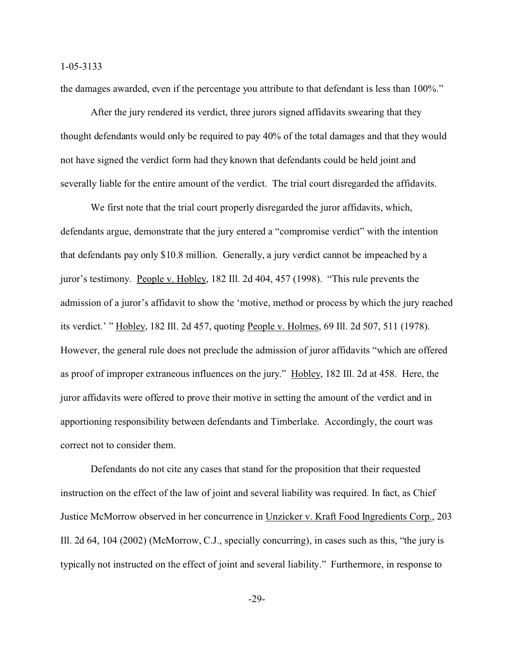the damages awarded, even if the percentage you attribute to that defendant is less than 100%."

After the jury rendered its verdict, three jurors signed affidavits swearing that they thought defendants would only be required to pay 40% of the total damages and that they would not have signed the verdict form had they known that defendants could be held joint and severally liable for the entire amount of the verdict. The trial court disregarded the affidavits.

We first note that the trial court properly disregarded the juror affidavits, which, defendants argue, demonstrate that the jury entered a "compromise verdict" with the intention that defendants pay only \$10.8 million. Generally, a jury verdict cannot be impeached by a juror's testimony. People v. Hobley, 182 Ill. 2d 404, 457 (1998). "This rule prevents the admission of a juror's affidavit to show the 'motive, method or process by which the jury reached its verdict.' " Hobley, 182 Ill. 2d 457, quoting People v. Holmes, 69 Ill. 2d 507, 511 (1978). However, the general rule does not preclude the admission of juror affidavits "which are offered as proof of improper extraneous influences on the jury." Hobley, 182 Ill. 2d at 458. Here, the juror affidavits were offered to prove their motive in setting the amount of the verdict and in apportioning responsibility between defendants and Timberlake. Accordingly, the court was correct not to consider them.

Defendants do not cite any cases that stand for the proposition that their requested instruction on the effect of the law of joint and several liability was required. In fact, as Chief Justice McMorrow observed in her concurrence in Unzicker v. Kraft Food Ingredients Corp., 203 Ill. 2d 64, 104 (2002) (McMorrow, C.J., specially concurring), in cases such as this, "the jury is typically not instructed on the effect of joint and several liability." Furthermore, in response to

-29-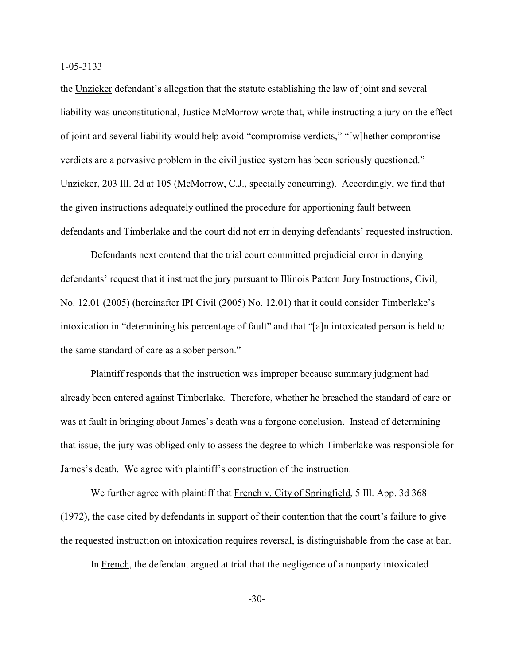the Unzicker defendant's allegation that the statute establishing the law of joint and several liability was unconstitutional, Justice McMorrow wrote that, while instructing a jury on the effect of joint and several liability would help avoid "compromise verdicts," "[w]hether compromise verdicts are a pervasive problem in the civil justice system has been seriously questioned." Unzicker, 203 Ill. 2d at 105 (McMorrow, C.J., specially concurring). Accordingly, we find that the given instructions adequately outlined the procedure for apportioning fault between defendants and Timberlake and the court did not err in denying defendants' requested instruction.

Defendants next contend that the trial court committed prejudicial error in denying defendants' request that it instruct the jury pursuant to Illinois Pattern Jury Instructions, Civil, No. 12.01 (2005) (hereinafter IPI Civil (2005) No. 12.01) that it could consider Timberlake's intoxication in "determining his percentage of fault" and that "[a]n intoxicated person is held to the same standard of care as a sober person."

Plaintiff responds that the instruction was improper because summary judgment had already been entered against Timberlake. Therefore, whether he breached the standard of care or was at fault in bringing about James's death was a forgone conclusion. Instead of determining that issue, the jury was obliged only to assess the degree to which Timberlake was responsible for James's death. We agree with plaintiff's construction of the instruction.

We further agree with plaintiff that French v. City of Springfield, 5 Ill. App. 3d 368 (1972), the case cited by defendants in support of their contention that the court's failure to give the requested instruction on intoxication requires reversal, is distinguishable from the case at bar.

In French, the defendant argued at trial that the negligence of a nonparty intoxicated

-30-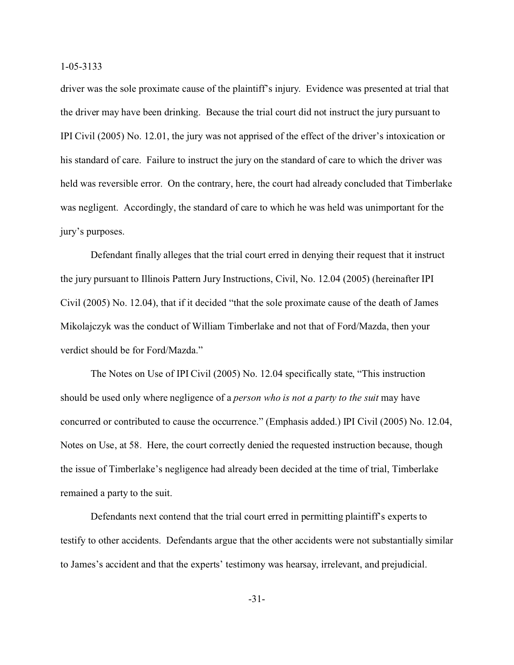driver was the sole proximate cause of the plaintiff's injury. Evidence was presented at trial that the driver may have been drinking. Because the trial court did not instruct the jury pursuant to IPI Civil (2005) No. 12.01, the jury was not apprised of the effect of the driver's intoxication or his standard of care. Failure to instruct the jury on the standard of care to which the driver was held was reversible error. On the contrary, here, the court had already concluded that Timberlake was negligent. Accordingly, the standard of care to which he was held was unimportant for the jury's purposes.

Defendant finally alleges that the trial court erred in denying their request that it instruct the jury pursuant to Illinois Pattern Jury Instructions, Civil, No. 12.04 (2005) (hereinafter IPI Civil (2005) No. 12.04), that if it decided "that the sole proximate cause of the death of James Mikolajczyk was the conduct of William Timberlake and not that of Ford/Mazda, then your verdict should be for Ford/Mazda."

The Notes on Use of IPI Civil (2005) No. 12.04 specifically state, "This instruction should be used only where negligence of a *person who is not a party to the suit* may have concurred or contributed to cause the occurrence." (Emphasis added.) IPI Civil (2005) No. 12.04, Notes on Use, at 58. Here, the court correctly denied the requested instruction because, though the issue of Timberlake's negligence had already been decided at the time of trial, Timberlake remained a party to the suit.

Defendants next contend that the trial court erred in permitting plaintiff's experts to testify to other accidents. Defendants argue that the other accidents were not substantially similar to James's accident and that the experts' testimony was hearsay, irrelevant, and prejudicial.

-31-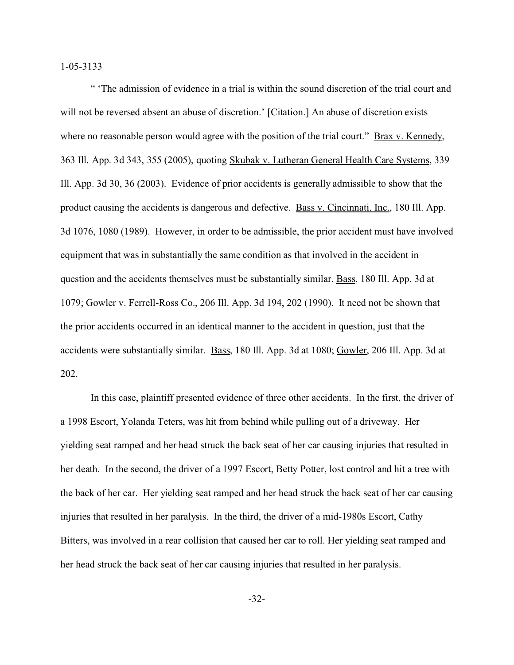" 'The admission of evidence in a trial is within the sound discretion of the trial court and will not be reversed absent an abuse of discretion.' [Citation.] An abuse of discretion exists where no reasonable person would agree with the position of the trial court." Brax v. Kennedy, 363 Ill. App. 3d 343, 355 (2005), quoting Skubak v. Lutheran General Health Care Systems, 339 Ill. App. 3d 30, 36 (2003). Evidence of prior accidents is generally admissible to show that the product causing the accidents is dangerous and defective. Bass v. Cincinnati, Inc., 180 Ill. App. 3d 1076, 1080 (1989). However, in order to be admissible, the prior accident must have involved equipment that was in substantially the same condition as that involved in the accident in question and the accidents themselves must be substantially similar. Bass, 180 Ill. App. 3d at 1079; Gowler v. Ferrell-Ross Co., 206 Ill. App. 3d 194, 202 (1990). It need not be shown that the prior accidents occurred in an identical manner to the accident in question, just that the accidents were substantially similar. Bass, 180 Ill. App. 3d at 1080; Gowler, 206 Ill. App. 3d at 202.

In this case, plaintiff presented evidence of three other accidents. In the first, the driver of a 1998 Escort, Yolanda Teters, was hit from behind while pulling out of a driveway. Her yielding seat ramped and her head struck the back seat of her car causing injuries that resulted in her death. In the second, the driver of a 1997 Escort, Betty Potter, lost control and hit a tree with the back of her car. Her yielding seat ramped and her head struck the back seat of her car causing injuries that resulted in her paralysis. In the third, the driver of a mid-1980s Escort, Cathy Bitters, was involved in a rear collision that caused her car to roll. Her yielding seat ramped and her head struck the back seat of her car causing injuries that resulted in her paralysis.

-32-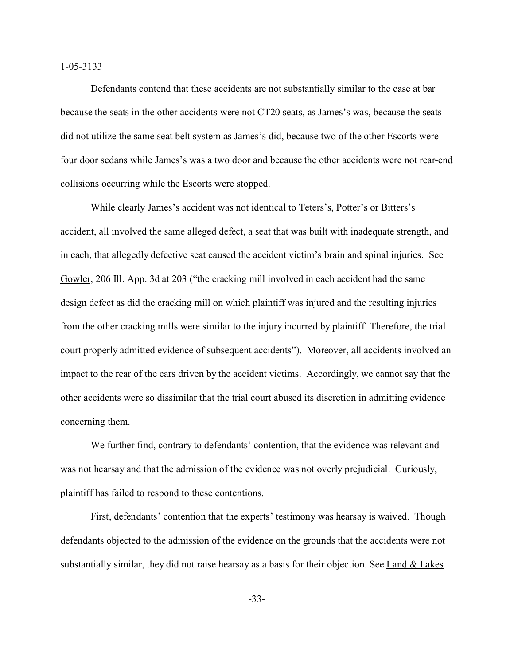Defendants contend that these accidents are not substantially similar to the case at bar because the seats in the other accidents were not CT20 seats, as James's was, because the seats did not utilize the same seat belt system as James's did, because two of the other Escorts were four door sedans while James's was a two door and because the other accidents were not rear-end collisions occurring while the Escorts were stopped.

While clearly James's accident was not identical to Teters's, Potter's or Bitters's accident, all involved the same alleged defect, a seat that was built with inadequate strength, and in each, that allegedly defective seat caused the accident victim's brain and spinal injuries. See Gowler, 206 Ill. App. 3d at 203 ("the cracking mill involved in each accident had the same design defect as did the cracking mill on which plaintiff was injured and the resulting injuries from the other cracking mills were similar to the injury incurred by plaintiff. Therefore, the trial court properly admitted evidence of subsequent accidents"). Moreover, all accidents involved an impact to the rear of the cars driven by the accident victims. Accordingly, we cannot say that the other accidents were so dissimilar that the trial court abused its discretion in admitting evidence concerning them.

We further find, contrary to defendants' contention, that the evidence was relevant and was not hearsay and that the admission of the evidence was not overly prejudicial. Curiously, plaintiff has failed to respond to these contentions.

First, defendants' contention that the experts' testimony was hearsay is waived. Though defendants objected to the admission of the evidence on the grounds that the accidents were not substantially similar, they did not raise hearsay as a basis for their objection. See Land & Lakes

-33-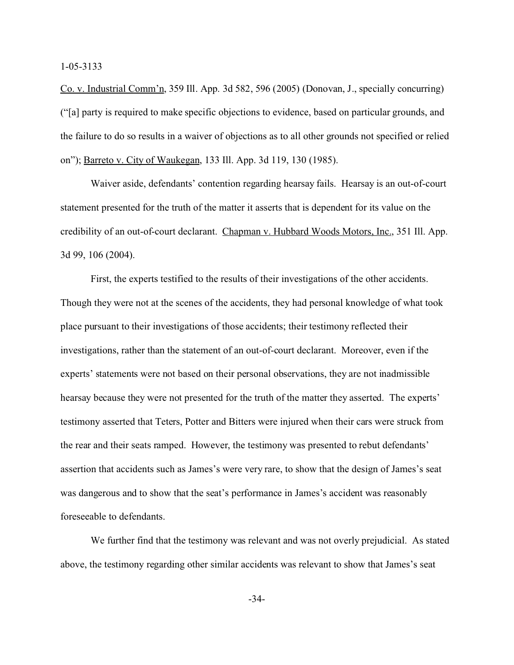Co. v. Industrial Comm'n, 359 Ill. App. 3d 582, 596 (2005) (Donovan, J., specially concurring) ("[a] party is required to make specific objections to evidence, based on particular grounds, and the failure to do so results in a waiver of objections as to all other grounds not specified or relied on"); Barreto v. City of Waukegan, 133 Ill. App. 3d 119, 130 (1985).

Waiver aside, defendants' contention regarding hearsay fails. Hearsay is an out-of-court statement presented for the truth of the matter it asserts that is dependent for its value on the credibility of an out-of-court declarant. Chapman v. Hubbard Woods Motors, Inc., 351 Ill. App. 3d 99, 106 (2004).

First, the experts testified to the results of their investigations of the other accidents. Though they were not at the scenes of the accidents, they had personal knowledge of what took place pursuant to their investigations of those accidents; their testimony reflected their investigations, rather than the statement of an out-of-court declarant. Moreover, even if the experts' statements were not based on their personal observations, they are not inadmissible hearsay because they were not presented for the truth of the matter they asserted. The experts' testimony asserted that Teters, Potter and Bitters were injured when their cars were struck from the rear and their seats ramped. However, the testimony was presented to rebut defendants' assertion that accidents such as James's were very rare, to show that the design of James's seat was dangerous and to show that the seat's performance in James's accident was reasonably foreseeable to defendants.

We further find that the testimony was relevant and was not overly prejudicial. As stated above, the testimony regarding other similar accidents was relevant to show that James's seat

-34-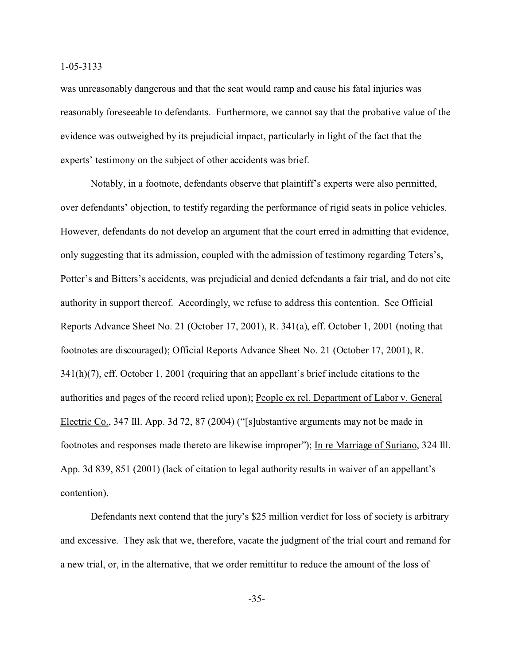was unreasonably dangerous and that the seat would ramp and cause his fatal injuries was reasonably foreseeable to defendants. Furthermore, we cannot say that the probative value of the evidence was outweighed by its prejudicial impact, particularly in light of the fact that the experts' testimony on the subject of other accidents was brief.

Notably, in a footnote, defendants observe that plaintiff's experts were also permitted, over defendants' objection, to testify regarding the performance of rigid seats in police vehicles. However, defendants do not develop an argument that the court erred in admitting that evidence, only suggesting that its admission, coupled with the admission of testimony regarding Teters's, Potter's and Bitters's accidents, was prejudicial and denied defendants a fair trial, and do not cite authority in support thereof. Accordingly, we refuse to address this contention. See Official Reports Advance Sheet No. 21 (October 17, 2001), R. 341(a), eff. October 1, 2001 (noting that footnotes are discouraged); Official Reports Advance Sheet No. 21 (October 17, 2001), R. 341(h)(7), eff. October 1, 2001 (requiring that an appellant's brief include citations to the authorities and pages of the record relied upon); People ex rel. Department of Labor v. General Electric Co., 347 Ill. App. 3d 72, 87 (2004) ("[s]ubstantive arguments may not be made in footnotes and responses made thereto are likewise improper"); In re Marriage of Suriano, 324 Ill. App. 3d 839, 851 (2001) (lack of citation to legal authority results in waiver of an appellant's contention).

Defendants next contend that the jury's \$25 million verdict for loss of society is arbitrary and excessive. They ask that we, therefore, vacate the judgment of the trial court and remand for a new trial, or, in the alternative, that we order remittitur to reduce the amount of the loss of

-35-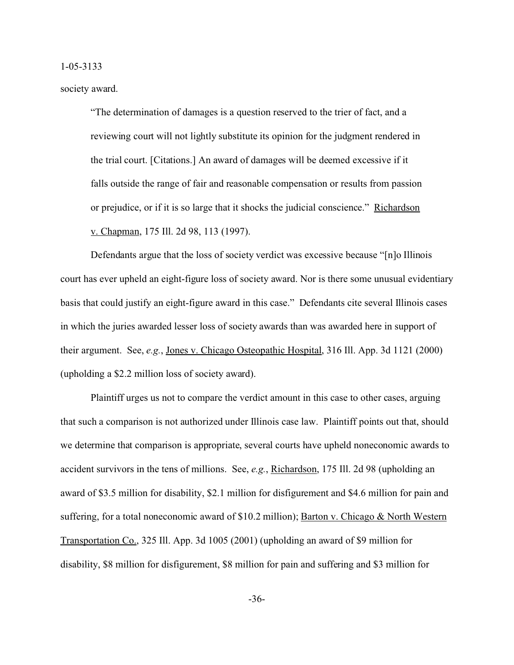society award.

"The determination of damages is a question reserved to the trier of fact, and a reviewing court will not lightly substitute its opinion for the judgment rendered in the trial court. [Citations.] An award of damages will be deemed excessive if it falls outside the range of fair and reasonable compensation or results from passion or prejudice, or if it is so large that it shocks the judicial conscience." Richardson v. Chapman, 175 Ill. 2d 98, 113 (1997).

Defendants argue that the loss of society verdict was excessive because "[n]o Illinois court has ever upheld an eight-figure loss of society award. Nor is there some unusual evidentiary basis that could justify an eight-figure award in this case." Defendants cite several Illinois cases in which the juries awarded lesser loss of society awards than was awarded here in support of their argument. See, *e.g.*, Jones v. Chicago Osteopathic Hospital, 316 Ill. App. 3d 1121 (2000) (upholding a \$2.2 million loss of society award).

Plaintiff urges us not to compare the verdict amount in this case to other cases, arguing that such a comparison is not authorized under Illinois case law. Plaintiff points out that, should we determine that comparison is appropriate, several courts have upheld noneconomic awards to accident survivors in the tens of millions. See, *e.g.*, Richardson, 175 Ill. 2d 98 (upholding an award of \$3.5 million for disability, \$2.1 million for disfigurement and \$4.6 million for pain and suffering, for a total noneconomic award of \$10.2 million); Barton v. Chicago & North Western Transportation Co., 325 Ill. App. 3d 1005 (2001) (upholding an award of \$9 million for disability, \$8 million for disfigurement, \$8 million for pain and suffering and \$3 million for

-36-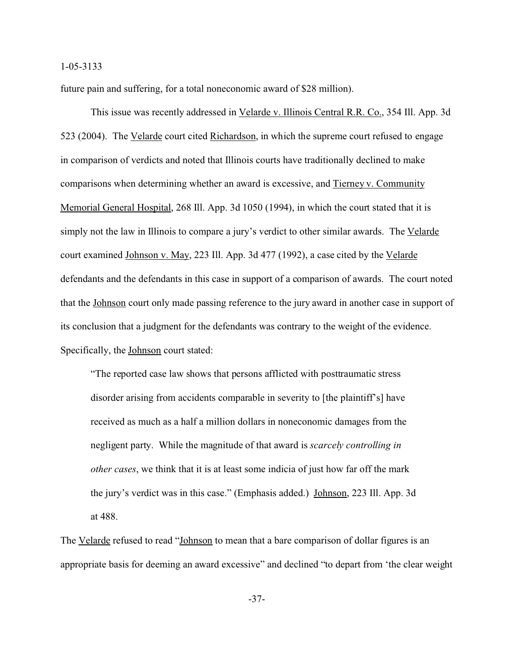future pain and suffering, for a total noneconomic award of \$28 million).

This issue was recently addressed in Velarde v. Illinois Central R.R. Co., 354 Ill. App. 3d 523 (2004). The Velarde court cited Richardson, in which the supreme court refused to engage in comparison of verdicts and noted that Illinois courts have traditionally declined to make comparisons when determining whether an award is excessive, and Tierney v. Community Memorial General Hospital, 268 Ill. App. 3d 1050 (1994), in which the court stated that it is simply not the law in Illinois to compare a jury's verdict to other similar awards. The Velarde court examined Johnson v. May, 223 Ill. App. 3d 477 (1992), a case cited by the Velarde defendants and the defendants in this case in support of a comparison of awards. The court noted that the Johnson court only made passing reference to the jury award in another case in support of its conclusion that a judgment for the defendants was contrary to the weight of the evidence. Specifically, the Johnson court stated:

"The reported case law shows that persons afflicted with posttraumatic stress disorder arising from accidents comparable in severity to [the plaintiff's] have received as much as a half a million dollars in noneconomic damages from the negligent party. While the magnitude of that award is *scarcely controlling in other cases*, we think that it is at least some indicia of just how far off the mark the jury's verdict was in this case." (Emphasis added.) Johnson, 223 Ill. App. 3d at 488.

The Velarde refused to read "Johnson to mean that a bare comparison of dollar figures is an appropriate basis for deeming an award excessive" and declined "to depart from 'the clear weight

-37-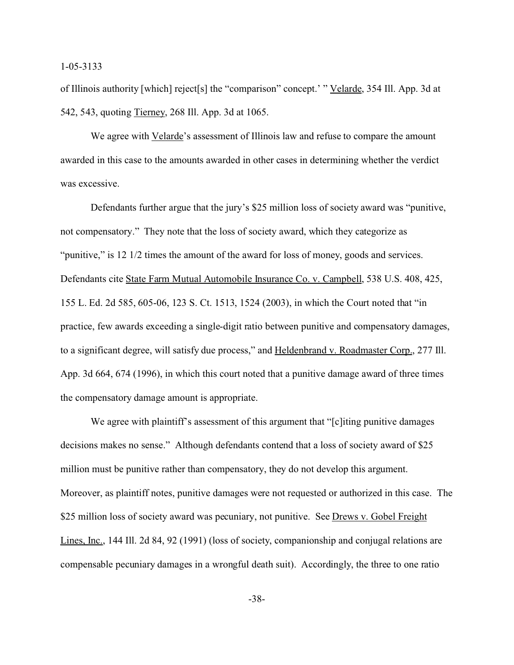of Illinois authority [which] reject[s] the "comparison" concept.' " Velarde, 354 Ill. App. 3d at 542, 543, quoting Tierney, 268 Ill. App. 3d at 1065.

We agree with Velarde's assessment of Illinois law and refuse to compare the amount awarded in this case to the amounts awarded in other cases in determining whether the verdict was excessive.

Defendants further argue that the jury's \$25 million loss of society award was "punitive, not compensatory." They note that the loss of society award, which they categorize as "punitive," is 12 1/2 times the amount of the award for loss of money, goods and services. Defendants cite State Farm Mutual Automobile Insurance Co. v. Campbell, 538 U.S. 408, 425, 155 L. Ed. 2d 585, 605-06, 123 S. Ct. 1513, 1524 (2003), in which the Court noted that "in practice, few awards exceeding a single-digit ratio between punitive and compensatory damages, to a significant degree, will satisfy due process," and Heldenbrand v. Roadmaster Corp., 277 Ill. App. 3d 664, 674 (1996), in which this court noted that a punitive damage award of three times the compensatory damage amount is appropriate.

We agree with plaintiff's assessment of this argument that "[c]iting punitive damages decisions makes no sense." Although defendants contend that a loss of society award of \$25 million must be punitive rather than compensatory, they do not develop this argument. Moreover, as plaintiff notes, punitive damages were not requested or authorized in this case. The \$25 million loss of society award was pecuniary, not punitive. See Drews v. Gobel Freight Lines, Inc., 144 Ill. 2d 84, 92 (1991) (loss of society, companionship and conjugal relations are compensable pecuniary damages in a wrongful death suit). Accordingly, the three to one ratio

-38-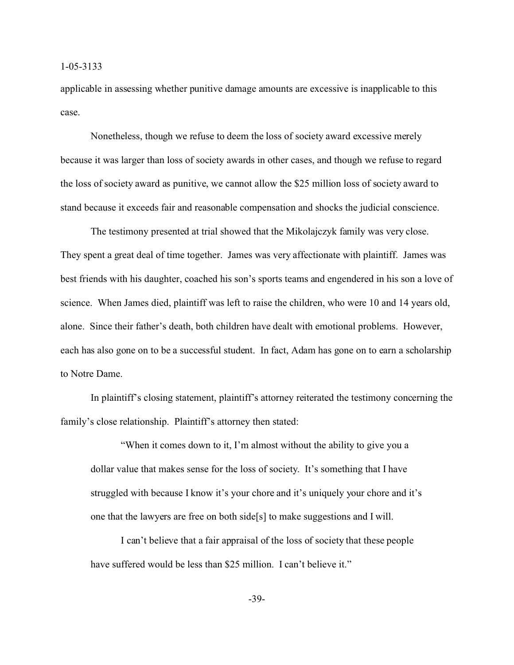applicable in assessing whether punitive damage amounts are excessive is inapplicable to this case.

Nonetheless, though we refuse to deem the loss of society award excessive merely because it was larger than loss of society awards in other cases, and though we refuse to regard the loss of society award as punitive, we cannot allow the \$25 million loss of society award to stand because it exceeds fair and reasonable compensation and shocks the judicial conscience.

The testimony presented at trial showed that the Mikolajczyk family was very close. They spent a great deal of time together. James was very affectionate with plaintiff. James was best friends with his daughter, coached his son's sports teams and engendered in his son a love of science. When James died, plaintiff was left to raise the children, who were 10 and 14 years old, alone. Since their father's death, both children have dealt with emotional problems. However, each has also gone on to be a successful student. In fact, Adam has gone on to earn a scholarship to Notre Dame.

In plaintiff's closing statement, plaintiff's attorney reiterated the testimony concerning the family's close relationship. Plaintiff's attorney then stated:

"When it comes down to it, I'm almost without the ability to give you a dollar value that makes sense for the loss of society. It's something that I have struggled with because I know it's your chore and it's uniquely your chore and it's one that the lawyers are free on both side[s] to make suggestions and I will.

I can't believe that a fair appraisal of the loss of society that these people have suffered would be less than \$25 million. I can't believe it."

-39-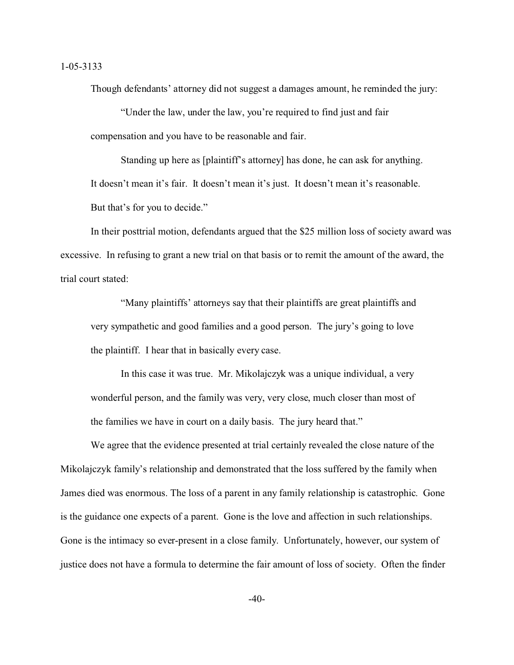Though defendants' attorney did not suggest a damages amount, he reminded the jury:

"Under the law, under the law, you're required to find just and fair compensation and you have to be reasonable and fair.

Standing up here as [plaintiff's attorney] has done, he can ask for anything. It doesn't mean it's fair. It doesn't mean it's just. It doesn't mean it's reasonable. But that's for you to decide."

In their posttrial motion, defendants argued that the \$25 million loss of society award was excessive. In refusing to grant a new trial on that basis or to remit the amount of the award, the trial court stated:

"Many plaintiffs' attorneys say that their plaintiffs are great plaintiffs and very sympathetic and good families and a good person. The jury's going to love the plaintiff. I hear that in basically every case.

In this case it was true. Mr. Mikolajczyk was a unique individual, a very wonderful person, and the family was very, very close, much closer than most of the families we have in court on a daily basis. The jury heard that."

We agree that the evidence presented at trial certainly revealed the close nature of the Mikolajczyk family's relationship and demonstrated that the loss suffered by the family when James died was enormous. The loss of a parent in any family relationship is catastrophic. Gone is the guidance one expects of a parent. Gone is the love and affection in such relationships. Gone is the intimacy so ever-present in a close family. Unfortunately, however, our system of justice does not have a formula to determine the fair amount of loss of society. Often the finder

 $-40-$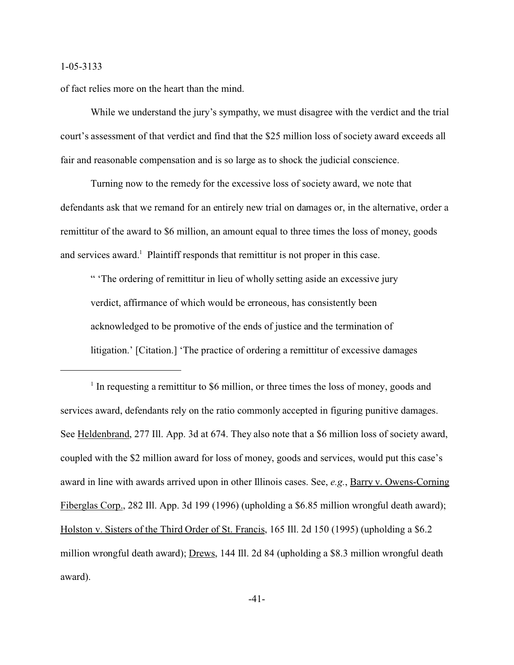of fact relies more on the heart than the mind.

While we understand the jury's sympathy, we must disagree with the verdict and the trial court's assessment of that verdict and find that the \$25 million loss of society award exceeds all fair and reasonable compensation and is so large as to shock the judicial conscience.

Turning now to the remedy for the excessive loss of society award, we note that defendants ask that we remand for an entirely new trial on damages or, in the alternative, order a remittitur of the award to \$6 million, an amount equal to three times the loss of money, goods and services award.<sup>1</sup> Plaintiff responds that remittitur is not proper in this case.

" 'The ordering of remittitur in lieu of wholly setting aside an excessive jury verdict, affirmance of which would be erroneous, has consistently been acknowledged to be promotive of the ends of justice and the termination of litigation.' [Citation.] 'The practice of ordering a remittitur of excessive damages

<sup>&</sup>lt;sup>1</sup> In requesting a remittitur to \$6 million, or three times the loss of money, goods and services award, defendants rely on the ratio commonly accepted in figuring punitive damages. See Heldenbrand, 277 Ill. App. 3d at 674. They also note that a \$6 million loss of society award, coupled with the \$2 million award for loss of money, goods and services, would put this case's award in line with awards arrived upon in other Illinois cases. See, *e.g.*, Barry v. Owens-Corning Fiberglas Corp., 282 Ill. App. 3d 199 (1996) (upholding a \$6.85 million wrongful death award); Holston v. Sisters of the Third Order of St. Francis, 165 Ill. 2d 150 (1995) (upholding a \$6.2 million wrongful death award); Drews, 144 Ill. 2d 84 (upholding a \$8.3 million wrongful death award).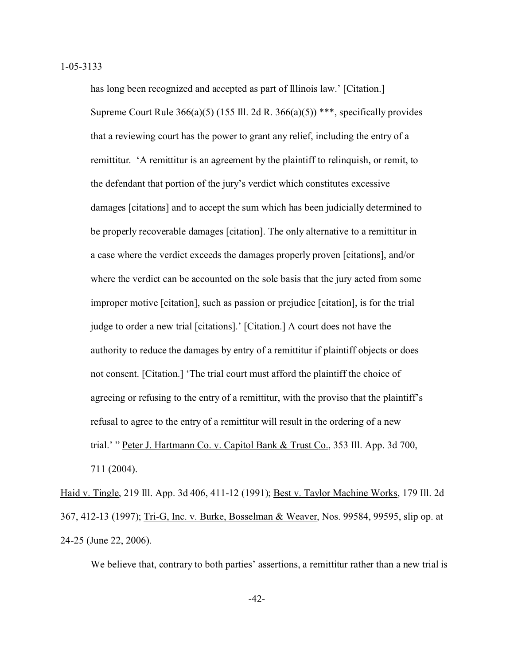has long been recognized and accepted as part of Illinois law.' [Citation.] Supreme Court Rule  $366(a)(5)$  (155 Ill. 2d R.  $366(a)(5)$ ) \*\*\*, specifically provides that a reviewing court has the power to grant any relief, including the entry of a remittitur. 'A remittitur is an agreement by the plaintiff to relinquish, or remit, to the defendant that portion of the jury's verdict which constitutes excessive damages [citations] and to accept the sum which has been judicially determined to be properly recoverable damages [citation]. The only alternative to a remittitur in a case where the verdict exceeds the damages properly proven [citations], and/or where the verdict can be accounted on the sole basis that the jury acted from some improper motive [citation], such as passion or prejudice [citation], is for the trial judge to order a new trial [citations].' [Citation.] A court does not have the authority to reduce the damages by entry of a remittitur if plaintiff objects or does not consent. [Citation.] 'The trial court must afford the plaintiff the choice of agreeing or refusing to the entry of a remittitur, with the proviso that the plaintiff's refusal to agree to the entry of a remittitur will result in the ordering of a new trial.' " Peter J. Hartmann Co. v. Capitol Bank & Trust Co., 353 Ill. App. 3d 700, 711 (2004).

Haid v. Tingle, 219 Ill. App. 3d 406, 411-12 (1991); Best v. Taylor Machine Works, 179 Ill. 2d 367, 412-13 (1997); Tri-G, Inc. v. Burke, Bosselman & Weaver, Nos. 99584, 99595, slip op. at 24-25 (June 22, 2006).

We believe that, contrary to both parties' assertions, a remittitur rather than a new trial is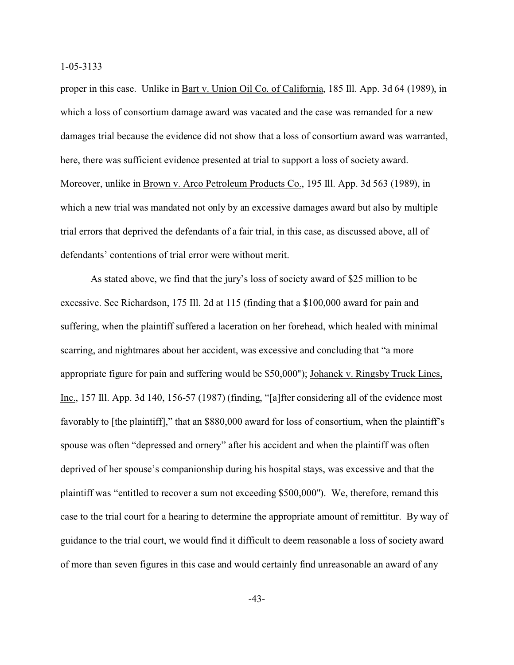proper in this case. Unlike in Bart v. Union Oil Co. of California, 185 Ill. App. 3d 64 (1989), in which a loss of consortium damage award was vacated and the case was remanded for a new damages trial because the evidence did not show that a loss of consortium award was warranted, here, there was sufficient evidence presented at trial to support a loss of society award. Moreover, unlike in Brown v. Arco Petroleum Products Co., 195 Ill. App. 3d 563 (1989), in which a new trial was mandated not only by an excessive damages award but also by multiple trial errors that deprived the defendants of a fair trial, in this case, as discussed above, all of defendants' contentions of trial error were without merit.

As stated above, we find that the jury's loss of society award of \$25 million to be excessive. See Richardson, 175 Ill. 2d at 115 (finding that a \$100,000 award for pain and suffering, when the plaintiff suffered a laceration on her forehead, which healed with minimal scarring, and nightmares about her accident, was excessive and concluding that "a more appropriate figure for pain and suffering would be \$50,000"); Johanek v. Ringsby Truck Lines, Inc., 157 Ill. App. 3d 140, 156-57 (1987) (finding, "[a]fter considering all of the evidence most favorably to [the plaintiff]," that an \$880,000 award for loss of consortium, when the plaintiff's spouse was often "depressed and ornery" after his accident and when the plaintiff was often deprived of her spouse's companionship during his hospital stays, was excessive and that the plaintiff was "entitled to recover a sum not exceeding \$500,000"). We, therefore, remand this case to the trial court for a hearing to determine the appropriate amount of remittitur. By way of guidance to the trial court, we would find it difficult to deem reasonable a loss of society award of more than seven figures in this case and would certainly find unreasonable an award of any

-43-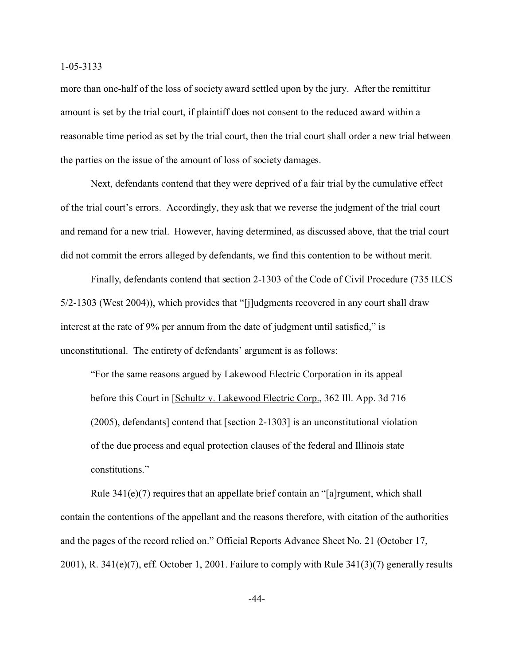more than one-half of the loss of society award settled upon by the jury. After the remittitur amount is set by the trial court, if plaintiff does not consent to the reduced award within a reasonable time period as set by the trial court, then the trial court shall order a new trial between the parties on the issue of the amount of loss of society damages.

Next, defendants contend that they were deprived of a fair trial by the cumulative effect of the trial court's errors. Accordingly, they ask that we reverse the judgment of the trial court and remand for a new trial. However, having determined, as discussed above, that the trial court did not commit the errors alleged by defendants, we find this contention to be without merit.

Finally, defendants contend that section 2-1303 of the Code of Civil Procedure (735 ILCS 5/2-1303 (West 2004)), which provides that "[j]udgments recovered in any court shall draw interest at the rate of 9% per annum from the date of judgment until satisfied," is unconstitutional. The entirety of defendants' argument is as follows:

"For the same reasons argued by Lakewood Electric Corporation in its appeal before this Court in [Schultz v. Lakewood Electric Corp., 362 Ill. App. 3d 716 (2005), defendants] contend that [section 2-1303] is an unconstitutional violation of the due process and equal protection clauses of the federal and Illinois state constitutions."

Rule 341(e)(7) requires that an appellate brief contain an "[a]rgument, which shall contain the contentions of the appellant and the reasons therefore, with citation of the authorities and the pages of the record relied on." Official Reports Advance Sheet No. 21 (October 17, 2001), R. 341(e)(7), eff. October 1, 2001. Failure to comply with Rule 341(3)(7) generally results

-44-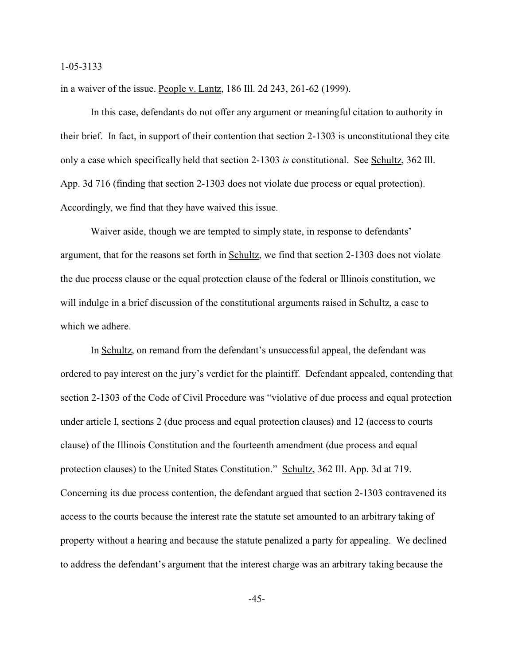in a waiver of the issue. People v. Lantz, 186 Ill. 2d 243, 261-62 (1999).

In this case, defendants do not offer any argument or meaningful citation to authority in their brief. In fact, in support of their contention that section 2-1303 is unconstitutional they cite only a case which specifically held that section 2-1303 *is* constitutional. See Schultz, 362 Ill. App. 3d 716 (finding that section 2-1303 does not violate due process or equal protection). Accordingly, we find that they have waived this issue.

Waiver aside, though we are tempted to simply state, in response to defendants' argument, that for the reasons set forth in Schultz, we find that section 2-1303 does not violate the due process clause or the equal protection clause of the federal or Illinois constitution, we will indulge in a brief discussion of the constitutional arguments raised in Schultz, a case to which we adhere.

In Schultz, on remand from the defendant's unsuccessful appeal, the defendant was ordered to pay interest on the jury's verdict for the plaintiff. Defendant appealed, contending that section 2-1303 of the Code of Civil Procedure was "violative of due process and equal protection under article I, sections 2 (due process and equal protection clauses) and 12 (access to courts clause) of the Illinois Constitution and the fourteenth amendment (due process and equal protection clauses) to the United States Constitution." Schultz, 362 Ill. App. 3d at 719. Concerning its due process contention, the defendant argued that section 2-1303 contravened its access to the courts because the interest rate the statute set amounted to an arbitrary taking of property without a hearing and because the statute penalized a party for appealing. We declined to address the defendant's argument that the interest charge was an arbitrary taking because the

-45-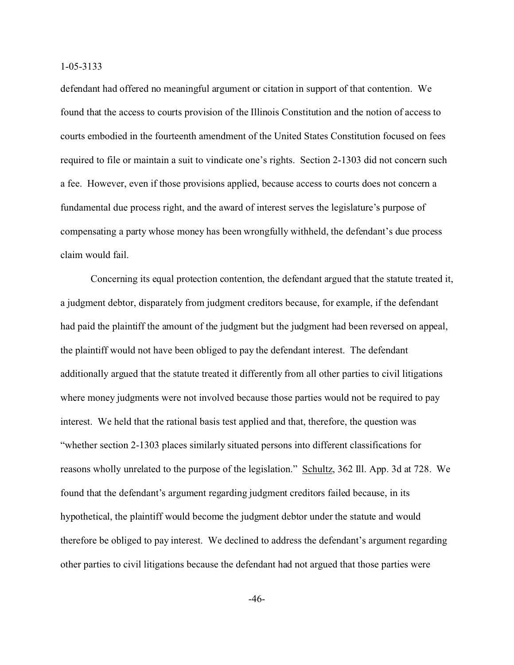defendant had offered no meaningful argument or citation in support of that contention. We found that the access to courts provision of the Illinois Constitution and the notion of access to courts embodied in the fourteenth amendment of the United States Constitution focused on fees required to file or maintain a suit to vindicate one's rights. Section 2-1303 did not concern such a fee. However, even if those provisions applied, because access to courts does not concern a fundamental due process right, and the award of interest serves the legislature's purpose of compensating a party whose money has been wrongfully withheld, the defendant's due process claim would fail.

Concerning its equal protection contention, the defendant argued that the statute treated it, a judgment debtor, disparately from judgment creditors because, for example, if the defendant had paid the plaintiff the amount of the judgment but the judgment had been reversed on appeal, the plaintiff would not have been obliged to pay the defendant interest. The defendant additionally argued that the statute treated it differently from all other parties to civil litigations where money judgments were not involved because those parties would not be required to pay interest. We held that the rational basis test applied and that, therefore, the question was "whether section 2-1303 places similarly situated persons into different classifications for reasons wholly unrelated to the purpose of the legislation." Schultz, 362 Ill. App. 3d at 728. We found that the defendant's argument regarding judgment creditors failed because, in its hypothetical, the plaintiff would become the judgment debtor under the statute and would therefore be obliged to pay interest. We declined to address the defendant's argument regarding other parties to civil litigations because the defendant had not argued that those parties were

-46-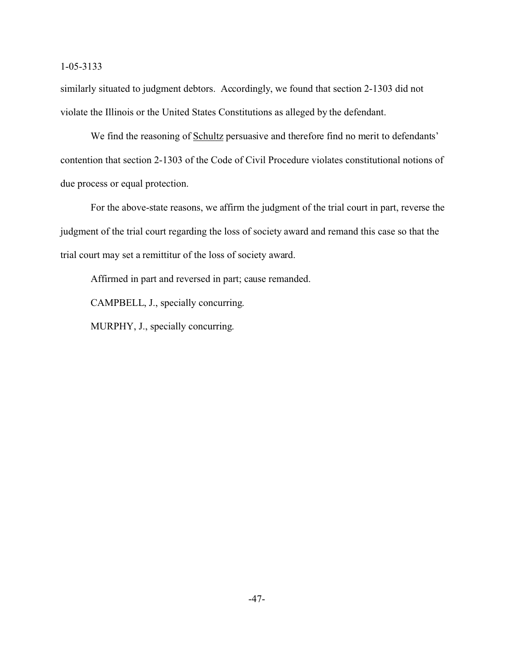similarly situated to judgment debtors. Accordingly, we found that section 2-1303 did not violate the Illinois or the United States Constitutions as alleged by the defendant.

We find the reasoning of Schultz persuasive and therefore find no merit to defendants' contention that section 2-1303 of the Code of Civil Procedure violates constitutional notions of due process or equal protection.

For the above-state reasons, we affirm the judgment of the trial court in part, reverse the judgment of the trial court regarding the loss of society award and remand this case so that the trial court may set a remittitur of the loss of society award.

Affirmed in part and reversed in part; cause remanded.

CAMPBELL, J., specially concurring.

MURPHY, J., specially concurring.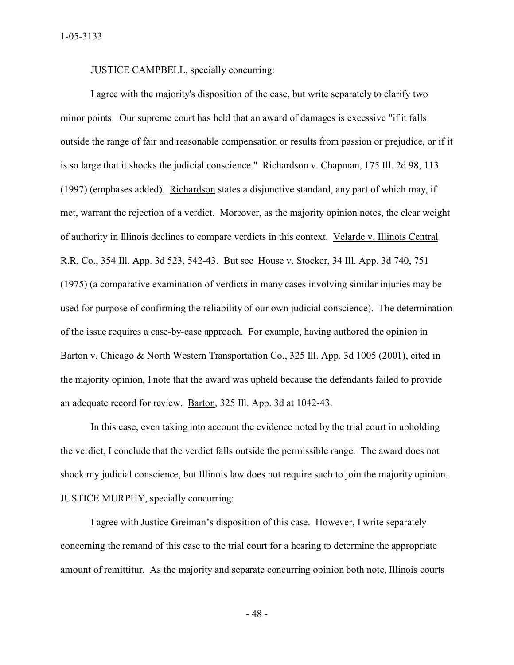JUSTICE CAMPBELL, specially concurring:

I agree with the majority's disposition of the case, but write separately to clarify two minor points. Our supreme court has held that an award of damages is excessive "if it falls outside the range of fair and reasonable compensation or results from passion or prejudice, or if it is so large that it shocks the judicial conscience." Richardson v. Chapman, 175 Ill. 2d 98, 113 (1997) (emphases added). Richardson states a disjunctive standard, any part of which may, if met, warrant the rejection of a verdict. Moreover, as the majority opinion notes, the clear weight of authority in Illinois declines to compare verdicts in this context. Velarde v. Illinois Central R.R. Co., 354 Ill. App. 3d 523, 542-43. But see House v. Stocker, 34 Ill. App. 3d 740, 751 (1975) (a comparative examination of verdicts in many cases involving similar injuries may be used for purpose of confirming the reliability of our own judicial conscience). The determination of the issue requires a case-by-case approach. For example, having authored the opinion in Barton v. Chicago & North Western Transportation Co., 325 Ill. App. 3d 1005 (2001), cited in the majority opinion, I note that the award was upheld because the defendants failed to provide an adequate record for review. Barton, 325 Ill. App. 3d at 1042-43.

In this case, even taking into account the evidence noted by the trial court in upholding the verdict, I conclude that the verdict falls outside the permissible range. The award does not shock my judicial conscience, but Illinois law does not require such to join the majority opinion. JUSTICE MURPHY, specially concurring:

I agree with Justice Greiman's disposition of this case. However, I write separately concerning the remand of this case to the trial court for a hearing to determine the appropriate amount of remittitur. As the majority and separate concurring opinion both note, Illinois courts